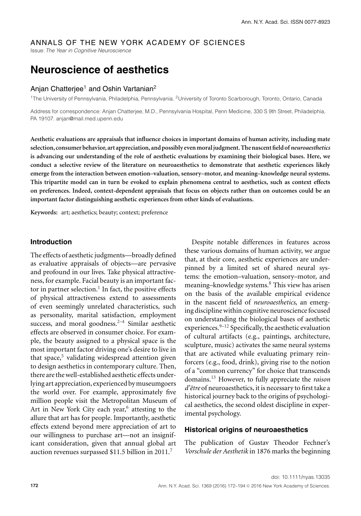# ANNALS OF THE NEW YORK ACADEMY OF SCIENCES

Issue: *The Year in Cognitive Neuroscience*

# **Neuroscience of aesthetics**

## Anjan Chatterjee<sup>1</sup> and Oshin Vartanian<sup>2</sup>

1The University of Pennsylvania, Philadelphia, Pennsylvania. 2University of Toronto Scarborough, Toronto, Ontario, Canada

Address for correspondence: Anjan Chatterjee, M.D., Pennsylvania Hospital, Penn Medicine, 330 S 9th Street, Philadelphia, PA 19107. anjan@mail.med.upenn.edu

**Aesthetic evaluations are appraisals that influence choices in important domains of human activity, including mate selection, consumer behavior, art appreciation, and possibly evenmoraljudgment. The nascent field of***neuroaesthetics* **is advancing our understanding of the role of aesthetic evaluations by examining their biological bases. Here, we conduct a selective review of the literature on neuroaesthetics to demonstrate that aesthetic experiences likely emerge from the interaction between emotion–valuation, sensory–motor, and meaning–knowledge neural systems. This tripartite model can in turn be evoked to explain phenomena central to aesthetics, such as context effects on preferences. Indeed, context-dependent appraisals that focus on objects rather than on outcomes could be an important factor distinguishing aesthetic experiences from other kinds of evaluations.**

**Keywords:** art; aesthetics; beauty; context; preference

## **Introduction**

The effects of aesthetic judgments—broadly defined as evaluative appraisals of objects—are pervasive and profound in our lives. Take physical attractiveness, for example. Facial beauty is an important factor in partner selection. $<sup>1</sup>$  In fact, the positive effects</sup> of physical attractiveness extend to assessments of even seemingly unrelated characteristics, such as personality, marital satisfaction, employment success, and moral goodness.<sup>2–4</sup> Similar aesthetic effects are observed in consumer choice. For example, the beauty assigned to a physical space is the most important factor driving one's desire to live in that space, $5$  validating widespread attention given to design aesthetics in contemporary culture. Then, there are the well-established aesthetic effects underlying art appreciation, experienced by museumgoers the world over. For example, approximately five million people visit the Metropolitan Museum of Art in New York City each year, $6$  attesting to the allure that art has for people. Importantly, aesthetic effects extend beyond mere appreciation of art to our willingness to purchase art—not an insignificant consideration, given that annual global art auction revenues surpassed \$11.5 billion in 2011.<sup>7</sup>

Despite notable differences in features across these various domains of human activity, we argue that, at their core, aesthetic experiences are underpinned by a limited set of shared neural systems: the emotion–valuation, sensory–motor, and meaning–knowledge systems.<sup>8</sup> This view has arisen on the basis of the available empirical evidence in the nascent field of *neuroaesthetics*, an emerging discipline within cognitive neuroscience focused on understanding the biological bases of aesthetic experiences. $9-12$  Specifically, the aesthetic evaluation of cultural artifacts (e.g., paintings, architecture, sculpture, music) activates the same neural systems that are activated while evaluating primary reinforcers (e.g., food, drink), giving rise to the notion of a "common currency" for choice that transcends domains.<sup>13</sup> However, to fully appreciate the *raison d'être* of neuroaesthetics, it is necessary to first take a historical journey back to the origins of psychological aesthetics, the second oldest discipline in experimental psychology.

#### **Historical origins of neuroaesthetics**

The publication of Gustav Theodor Fechner's *Vorschule der Aesthetik* in 1876 marks the beginning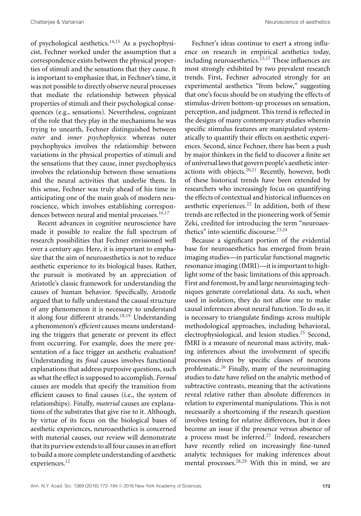of psychological aesthetics.14,15 As a psychophysicist, Fechner worked under the assumption that a correspondence exists between the physical properties of stimuli and the sensations that they cause. It is important to emphasize that, in Fechner's time, it was not possible to directly observe neural processes that mediate the relationship between physical properties of stimuli and their psychological consequences (e.g., sensations). Nevertheless, cognizant of the role that they play in the mechanisms he was trying to unearth, Fechner distinguished between *outer* and *inner psychophysics*: whereas outer psychophysics involves the relationship between variations in the physical properties of stimuli and the sensations that they cause, inner psychophysics involves the relationship between those sensations and the neural activities that underlie them. In this sense, Fechner was truly ahead of his time in anticipating one of the main goals of modern neuroscience, which involves establishing correspondences between neural and mental processes.<sup>16,17</sup>

Recent advances in cognitive neuroscience have made it possible to realize the full spectrum of research possibilities that Fechner envisioned well over a century ago. Here, it is important to emphasize that the aim of neuroaesthetics is not to reduce aesthetic experience to its biological bases. Rather, the pursuit is motivated by an appreciation of Aristotle's classic framework for understanding the causes of human behavior. Specifically, Aristotle argued that to fully understand the causal structure of any phenomenon it is necessary to understand it along four different strands.<sup>18,19</sup> Understanding a phenomenon's *efficient* causes means understanding the triggers that generate or prevent its effect from occurring. For example, does the mere presentation of a face trigger an aesthetic evaluation? Understanding its *final* causes involves functional explanations that address purposive questions, such as what the effect is supposed to accomplish. *Formal* causes are models that specify the transition from efficient causes to final causes (i.e., the system of relationships). Finally, *material* causes are explanations of the substrates that give rise to it. Although, by virtue of its focus on the biological bases of aesthetic experiences, neuroaesthetics is concerned with material causes, our review will demonstrate that its purview extends to all four causes in an effort to build a more complete understanding of aesthetic experiences.<sup>12</sup>

Fechner's ideas continue to exert a strong influence on research in empirical aesthetics today, including neuroaesthetics. ${}^{15,17}$  These influences are most strongly exhibited by two prevalent research trends. First, Fechner advocated strongly for an experimental aesthetics "from below," suggesting that one's focus should be on studying the effects of stimulus-driven bottom-up processes on sensation, perception, and judgment. This trend is reflected in the designs of many contemporary studies wherein specific stimulus features are manipulated systematically to quantify their effects on aesthetic experiences. Second, since Fechner, there has been a push by major thinkers in the field to discover a finite set of universal laws that govern people's aesthetic interactions with objects.20,21 Recently, however, both of these historical trends have been extended by researchers who increasingly focus on quantifying the effects of contextual and historical influences on aesthetic experiences. $22$  In addition, both of these trends are reflected in the pioneering work of Semir Zeki, credited for introducing the term "neuroaesthetics" into scientific discourse.<sup>23,24</sup>

Because a significant portion of the evidential base for neuroaesthetics has emerged from brain imaging studies—in particular functional magnetic resonance imaging (fMRI)—it is important to highlight some of the basic limitations of this approach. First and foremost, by and large neuroimaging techniques generate correlational data. As such, when used in isolation, they do not allow one to make causal inferences about neural function. To do so, it is necessary to triangulate findings across multiple methodological approaches, including behavioral, electrophysiological, and lesion studies.<sup>25</sup> Second, fMRI is a measure of neuronal mass activity, making inferences about the involvement of specific processes driven by specific classes of neurons problematic.<sup>26</sup> Finally, many of the neuroimaging studies to date have relied on the analytic method of subtractive contrasts, meaning that the activations reveal relative rather than absolute differences in relation to experimental manipulations. This is not necessarily a shortcoming if the research question involves testing for relative differences, but it does become an issue if the presence versus absence of a process must be inferred.<sup>27</sup> Indeed, researchers have recently relied on increasingly fine-tuned analytic techniques for making inferences about mental processes.28,29 With this in mind, we are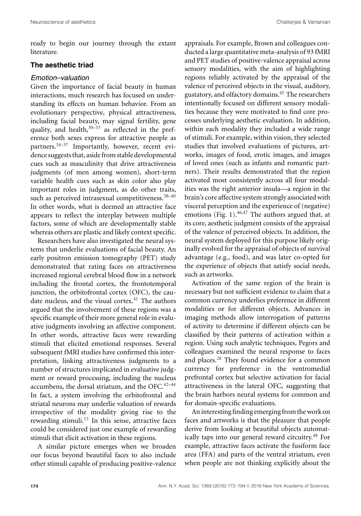ready to begin our journey through the extant literature.

#### **The aesthetic triad**

#### *Emotion–valuation*

Given the importance of facial beauty in human interactions, much research has focused on understanding its effects on human behavior. From an evolutionary perspective, physical attractiveness, including facial beauty, may signal fertility, gene quality, and health, $30-33$  as reflected in the preference both sexes express for attractive people as partners.34–37 Importantly, however, recent evidence suggests that, aside from stable developmental cues such as masculinity that drive attractiveness judgments (of men among women), short-term variable health cues such as skin color also play important roles in judgment, as do other traits, such as perceived intrasexual competitiveness.<sup>38-40</sup> In other words, what is deemed an attractive face appears to reflect the interplay between multiple factors, some of which are developmentally stable whereas others are plastic and likely context specific.

Researchers have also investigated the neural systems that underlie evaluations of facial beauty. An early positron emission tomography (PET) study demonstrated that rating faces on attractiveness increased regional cerebral blood flow in a network including the frontal cortex, the frontotemporal junction, the orbitofrontal cortex (OFC), the caudate nucleus, and the visual cortex. $41$  The authors argued that the involvement of these regions was a specific example of their more general role in evaluative judgments involving an affective component. In other words, attractive faces were rewarding stimuli that elicited emotional responses. Several subsequent fMRI studies have confirmed this interpretation, linking attractiveness judgments to a number of structures implicated in evaluative judgment or reward processing, including the nucleus accumbens, the dorsal striatum, and the OFC.<sup>42-44</sup> In fact, a system involving the orbitofrontal and striatal neurons may underlie valuation of rewards irrespective of the modality giving rise to the rewarding stimuli.<sup>13</sup> In this sense, attractive faces could be considered just one example of rewarding stimuli that elicit activation in these regions.

A similar picture emerges when we broaden our focus beyond beautiful faces to also include other stimuli capable of producing positive-valence appraisals. For example, Brown and colleagues conducted a large quantitative meta-analysis of 93 fMRI and PET studies of positive-valence appraisal across sensory modalities, with the aim of highlighting regions reliably activated by the appraisal of the valence of perceived objects in the visual, auditory, gustatory, and olfactory domains.<sup>45</sup> The researchers intentionally focused on different sensory modalities because they were motivated to find core processes underlying aesthetic evaluation. In addition, within each modality they included a wide range of stimuli. For example, within vision, they selected studies that involved evaluations of pictures, artworks, images of food, erotic images, and images of loved ones (such as infants and romantic partners). Their results demonstrated that the region activated most consistently across all four modalities was the right anterior insula—a region in the brain's core affective system strongly associated with visceral perception and the experience of (negative) emotions (Fig. 1).  $46,47$  The authors argued that, at its core, aesthetic judgment consists of the appraisal of the valence of perceived objects. In addition, the neural system deployed for this purpose likely originally evolved for the appraisal of objects of survival advantage (e.g., food), and was later co-opted for the experience of objects that satisfy social needs, such as artworks.

Activation of the same region of the brain is necessary but not sufficient evidence to claim that a common currency underlies preference in different modalities or for different objects. Advances in imaging methods allow interrogation of patterns of activity to determine if different objects can be classified by their patterns of activation within a region. Using such analytic techniques, Pegors and colleagues examined the neural response to faces and places.<sup>28</sup> They found evidence for a common currency for preference in the ventromedial prefrontal cortex but selective activation for facial attractiveness in the lateral OFC, suggesting that the brain harbors neural systems for common and for domain-specific evaluations.

An interesting finding emergingfrom the work on faces and artworks is that the pleasure that people derive from looking at beautiful objects automatically taps into our general reward circuitry.<sup>48</sup> For example, attractive faces activate the fusiform face area (FFA) and parts of the ventral striatum, even when people are not thinking explicitly about the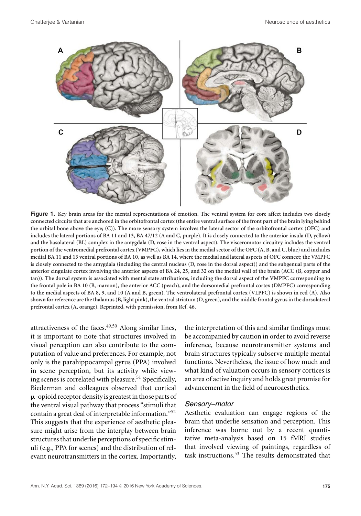

**Figure 1. Key brain areas for the mental representations of emotion. The ventral system for core affect includes two closely connected circuits that are anchored in the orbitofrontal cortex (the entire ventral surface of the front part of the brain lying behind the orbital bone above the eye; (C)). The more sensory system involves the lateral sector of the orbitofrontal cortex (OFC) and includes the lateral portions of BA 11 and 13, BA 47/12 (A and C, purple). It is closely connected to the anterior insula (D, yellow) and the basolateral (BL) complex in the amygdala (D, rose in the ventral aspect). The visceromotor circuitry includes the ventral portion of the ventromedial prefrontal cortex (VMPFC), which lies in the medial sector of the OFC (A, B, and C, blue) and includes medial BA 11 and 13 ventral portions of BA 10, as well as BA 14, where the medial and lateral aspects of OFC connect; the VMPFC is closely connected to the amygdala (including the central nucleus (D, rose in the dorsal aspect)) and the subgenual parts of the anterior cingulate cortex involving the anterior aspects of BA 24, 25, and 32 on the medial wall of the brain (ACC (B, copper and tan)). The dorsal system is associated with mental state attributions, including the dorsal aspect of the VMPFC corresponding to the frontal pole in BA 10 (B, maroon), the anterior ACC (peach), and the dorsomedial prefrontal cortex (DMPFC) corresponding to the medial aspects of BA 8, 9, and 10 (A and B, green). The ventrolateral prefrontal cortex (VLPFC) is shown in red (A). Also shown for reference are the thalamus (B, light pink), the ventral striatum (D, green), and the middle frontal gyrus in the dorsolateral prefrontal cortex (A, orange). Reprinted, with permission, from Ref. 46.**

attractiveness of the faces. $49,50$  Along similar lines, it is important to note that structures involved in visual perception can also contribute to the computation of value and preferences. For example, not only is the parahippocampal gyrus (PPA) involved in scene perception, but its activity while viewing scenes is correlated with pleasure.<sup>51</sup> Specifically, Biederman and colleagues observed that cortical --opioid receptor density is greatest in those parts of the ventral visual pathway that process "stimuli that contain a great deal of interpretable information."<sup>52</sup> This suggests that the experience of aesthetic pleasure might arise from the interplay between brain structures that underlie perceptions of specific stimuli (e.g., PPA for scenes) and the distribution of relevant neurotransmitters in the cortex. Importantly,

the interpretation of this and similar findings must be accompanied by caution in order to avoid reverse inference, because neurotransmitter systems and brain structures typically subserve multiple mental functions. Nevertheless, the issue of how much and what kind of valuation occurs in sensory cortices is an area of active inquiry and holds great promise for advancement in the field of neuroaesthetics.

#### *Sensory–motor*

Aesthetic evaluation can engage regions of the brain that underlie sensation and perception. This inference was borne out by a recent quantitative meta-analysis based on 15 fMRI studies that involved viewing of paintings, regardless of task instructions.<sup>53</sup> The results demonstrated that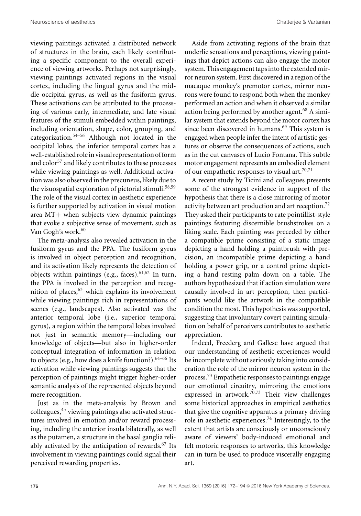viewing paintings activated a distributed network of structures in the brain, each likely contributing a specific component to the overall experience of viewing artworks. Perhaps not surprisingly, viewing paintings activated regions in the visual cortex, including the lingual gyrus and the middle occipital gyrus, as well as the fusiform gyrus. These activations can be attributed to the processing of various early, intermediate, and late visual features of the stimuli embedded within paintings, including orientation, shape, color, grouping, and categorization.54–56 Although not located in the occipital lobes, the inferior temporal cortex has a well-established role in visual representation of form and color<sup>57</sup> and likely contributes to these processes while viewing paintings as well. Additional activation was also observed in the precuneus, likely due to the visuospatial exploration of pictorial stimuli.<sup>58,59</sup> The role of the visual cortex in aesthetic experience is further supported by activation in visual motion area MT+ when subjects view dynamic paintings that evoke a subjective sense of movement, such as Van Gogh's work.<sup>60</sup>

The meta-analysis also revealed activation in the fusiform gyrus and the PPA. The fusiform gyrus is involved in object perception and recognition, and its activation likely represents the detection of objects within paintings (e.g., faces).  $61,62$  In turn, the PPA is involved in the perception and recognition of places, $63$  which explains its involvement while viewing paintings rich in representations of scenes (e.g., landscapes). Also activated was the anterior temporal lobe (i.e., superior temporal gyrus), a region within the temporal lobes involved not just in semantic memory—including our knowledge of objects—but also in higher-order conceptual integration of information in relation to objects (e.g., how does a knife function?).  $64-66$  Its activation while viewing paintings suggests that the perception of paintings might trigger higher-order semantic analysis of the represented objects beyond mere recognition.

Just as in the meta-analysis by Brown and colleagues,<sup>45</sup> viewing paintings also activated structures involved in emotion and/or reward processing, including the anterior insula bilaterally, as well as the putamen, a structure in the basal ganglia reliably activated by the anticipation of rewards. $67$  Its involvement in viewing paintings could signal their perceived rewarding properties.

Aside from activating regions of the brain that underlie sensations and perceptions, viewing paintings that depict actions can also engage the motor system. This engagement taps into the extended mirror neuron system. First discovered in a region of the macaque monkey's premotor cortex, mirror neurons were found to respond both when the monkey performed an action and when it observed a similar action being performed by another agent.<sup>68</sup> A similar system that extends beyond the motor cortex has since been discovered in humans.<sup>69</sup> This system is engaged when people infer the intent of artistic gestures or observe the consequences of actions, such as in the cut canvases of Lucio Fontana. This subtle motor engagement represents an embodied element of our empathetic responses to visual art.70,71

A recent study by Ticini and colleagues presents some of the strongest evidence in support of the hypothesis that there is a close mirroring of motor activity between art production and art reception.<sup>72</sup> They asked their participants to rate pointillist-style paintings featuring discernible brushstrokes on a liking scale. Each painting was preceded by either a compatible prime consisting of a static image depicting a hand holding a paintbrush with precision, an incompatible prime depicting a hand holding a power grip, or a control prime depicting a hand resting palm down on a table. The authors hypothesized that if action simulation were causally involved in art perception, then participants would like the artwork in the compatible condition the most. This hypothesis was supported, suggesting that involuntary covert painting simulation on behalf of perceivers contributes to aesthetic appreciation.

Indeed, Freederg and Gallese have argued that our understanding of aesthetic experiences would be incomplete without seriously taking into consideration the role of the mirror neuron system in the process.<sup>73</sup> Empathetic responses to paintings engage our emotional circuitry, mirroring the emotions expressed in artwork.<sup>70,73</sup> Their view challenges some historical approaches in empirical aesthetics that give the cognitive apparatus a primary driving role in aesthetic experiences.<sup>74</sup> Interestingly, to the extent that artists are consciously or unconsciously aware of viewers' body-induced emotional and felt motoric responses to artworks, this knowledge can in turn be used to produce viscerally engaging art.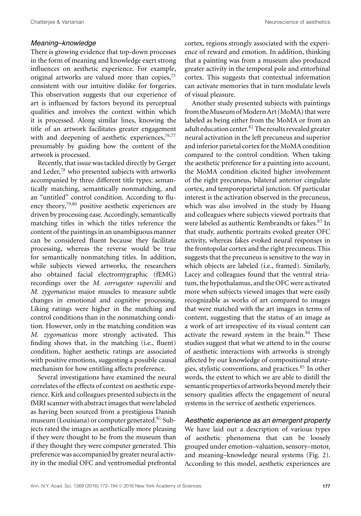#### *Meaning–knowledge*

There is growing evidence that top-down processes in the form of meaning and knowledge exert strong influences on aesthetic experience. For example, original artworks are valued more than copies,<sup>75</sup> consistent with our intuitive dislike for forgeries. This observation suggests that our experience of art is influenced by factors beyond its perceptual qualities and involves the context within which it is processed. Along similar lines, knowing the title of an artwork facilitates greater engagement with and deepening of aesthetic experiences,<sup>76,77</sup> presumably by guiding how the content of the artwork is processed.

Recently, that issue was tackled directly by Gerger and Leder,<sup>78</sup> who presented subjects with artworks accompanied by three different title types: semantically matching, semantically nonmatching, and an "untitled" control condition. According to fluency theory, $79,80$  positive aesthetic experiences are driven by processing ease. Accordingly, semantically matching titles in which the titles reference the content of the paintings in an unambiguous manner can be considered fluent because they facilitate processing, whereas the reverse would be true for semantically nonmatching titles. In addition, while subjects viewed artworks, the researchers also obtained facial electromygraphic (fEMG) recordings over the *M. corrugator supercilii* and *M. zygomaticus* major muscles to measure subtle changes in emotional and cognitive processing. Liking ratings were higher in the matching and control conditions than in the nonmatching condition. However, only in the matching condition was *M. zygomaticus* more strongly activated. This finding shows that, in the matching (i.e., fluent) condition, higher aesthetic ratings are associated with positive emotions, suggesting a possible causal mechanism for how entitling affects preference.

Several investigations have examined the neural correlates of the effects of context on aesthetic experience. Kirk and colleagues presented subjects in the fMRI scanner with abstract images that were labeled as having been sourced from a prestigious Danish museum (Louisiana) or computer generated.<sup>81</sup> Subjects rated the images as aesthetically more pleasing if they were thought to be from the museum than if they thought they were computer generated. This preference was accompanied by greater neural activity in the medial OFC and ventromedial prefrontal cortex, regions strongly associated with the experience of reward and emotion. In addition, thinking that a painting was from a museum also produced greater activity in the temporal pole and entorhinal cortex. This suggests that contextual information can activate memories that in turn modulate levels of visual pleasure.

Another study presented subjects with paintings from the Museum of Modern Art (MoMA) that were labeled as being either from the MoMA or from an adult education center. $82$  The results revealed greater neural activation in the left precuneus and superior and inferior parietal cortex for the MoMA condition compared to the control condition. When taking the aesthetic preference for a painting into account, the MoMA condition elicited higher involvement of the right precuneus, bilateral anterior cingulate cortex, and temporoparietal junction. Of particular interest is the activation observed in the precuneus, which was also involved in the study by Huang and colleagues where subjects viewed portraits that were labeled as authentic Rembrandts or fakes.<sup>83</sup> In that study, authentic portraits evoked greater OFC activity, whereas fakes evoked neural responses in the frontopolar cortex and the right precuneus. This suggests that the precuneus is sensitive to the way in which objects are labeled (i.e., framed). Similarly, Lacey and colleagues found that the ventral striatum, the hypothalamus, and the OFC were activated more when subjects viewed images that were easily recognizable as works of art compared to images that were matched with the art images in terms of content, suggesting that the status of an image as a work of art irrespective of its visual content can activate the reward system in the brain.<sup>84</sup> These studies suggest that what we attend to in the course of aesthetic interactions with artworks is strongly affected by our knowledge of compositional strategies, stylistic conventions, and practices.<sup>85</sup> In other words, the extent to which we are able to distill the semantic properties of artworks beyond merely their sensory qualities affects the engagement of neural systems in the service of aesthetic experiences.

*Aesthetic experience as an emergent property* We have laid out a description of various types of aesthetic phenomena that can be loosely grouped under emotion–valuation, sensory–motor, and meaning–knowledge neural systems (Fig. 2). According to this model, aesthetic experiences are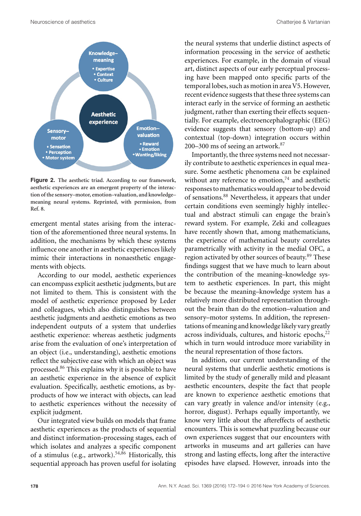

**Figure 2. The aesthetic triad. According to our framework, aesthetic experiences are an emergent property of the interaction of the sensory–motor, emotion–valuation, and knowledge– meaning neural systems. Reprinted, with permission, from Ref. 8.**

emergent mental states arising from the interaction of the aforementioned three neural systems. In addition, the mechanisms by which these systems influence one another in aesthetic experiences likely mimic their interactions in nonaesthetic engagements with objects.

According to our model, aesthetic experiences can encompass explicit aesthetic judgments, but are not limited to them. This is consistent with the model of aesthetic experience proposed by Leder and colleagues, which also distinguishes between aesthetic judgments and aesthetic emotions as two independent outputs of a system that underlies aesthetic experience: whereas aesthetic judgments arise from the evaluation of one's interpretation of an object (i.e., understanding), aesthetic emotions reflect the subjective ease with which an object was processed.<sup>86</sup> This explains why it is possible to have an aesthetic experience in the absence of explicit evaluation. Specifically, aesthetic emotions, as byproducts of how we interact with objects, can lead to aesthetic experiences without the necessity of explicit judgment.

Our integrated view builds on models that frame aesthetic experiences as the products of sequential and distinct information-processing stages, each of which isolates and analyzes a specific component of a stimulus (e.g., artwork).<sup>54,86</sup> Historically, this sequential approach has proven useful for isolating

the neural systems that underlie distinct aspects of information processing in the service of aesthetic experiences. For example, in the domain of visual art, distinct aspects of our early perceptual processing have been mapped onto specific parts of the temporal lobes, such as motion in area V5. However, recent evidence suggests that these three systems can interact early in the service of forming an aesthetic judgment, rather than exerting their effects sequentially. For example, electroencephalographic (EEG) evidence suggests that sensory (bottom-up) and contextual (top-down) integration occurs within 200–300 ms of seeing an artwork. $87$ 

Importantly, the three systems need not necessarily contribute to aesthetic experiences in equal measure. Some aesthetic phenomena can be explained without any reference to emotion, $74$  and aesthetic responses tomathematicswould appear to be devoid of sensations.<sup>88</sup> Nevertheless, it appears that under certain conditions even seemingly highly intellectual and abstract stimuli can engage the brain's reward system. For example, Zeki and colleagues have recently shown that, among mathematicians, the experience of mathematical beauty correlates parametrically with activity in the medial OFC, a region activated by other sources of beauty.<sup>89</sup> These findings suggest that we have much to learn about the contribution of the meaning–knowledge system to aesthetic experiences. In part, this might be because the meaning–knowledge system has a relatively more distributed representation throughout the brain than do the emotion–valuation and sensory–motor systems. In addition, the representations of meaning and knowledge likely vary greatly across individuals, cultures, and historic epochs, $22$ which in turn would introduce more variability in the neural representation of those factors.

In addition, our current understanding of the neural systems that underlie aesthetic emotions is limited by the study of generally mild and pleasant aesthetic encounters, despite the fact that people are known to experience aesthetic emotions that can vary greatly in valence and/or intensity (e.g., horror, disgust). Perhaps equally importantly, we know very little about the aftereffects of aesthetic encounters. This is somewhat puzzling because our own experiences suggest that our encounters with artworks in museums and art galleries can have strong and lasting effects, long after the interactive episodes have elapsed. However, inroads into the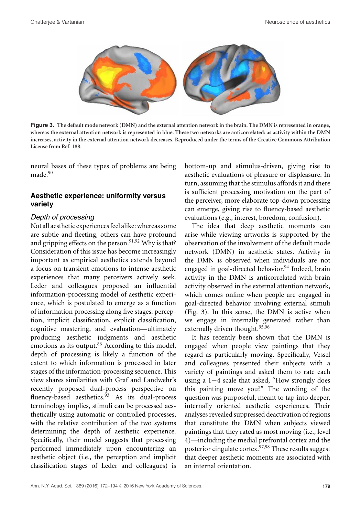

**Figure 3. The default mode network (DMN) and the external attention network in the brain. The DMN is represented in orange, whereas the external attention network is represented in blue. These two networks are anticorrelated: as activity within the DMN increases, activity in the external attention network decreases. Reproduced under the terms of the Creative Commons Attribution License from Ref. 188.**

neural bases of these types of problems are being made $^{90}$ 

# **Aesthetic experience: uniformity versus variety**

#### *Depth of processing*

Not all aesthetic experiences feel alike: whereas some are subtle and fleeting, others can have profound and gripping effects on the person.<sup>91,92</sup> Why is that? Consideration of this issue has become increasingly important as empirical aesthetics extends beyond a focus on transient emotions to intense aesthetic experiences that many perceivers actively seek. Leder and colleagues proposed an influential information-processing model of aesthetic experience, which is postulated to emerge as a function of information processing along five stages: perception, implicit classification, explicit classification, cognitive mastering, and evaluation—ultimately producing aesthetic judgments and aesthetic emotions as its output.<sup>86</sup> According to this model, depth of processing is likely a function of the extent to which information is processed in later stages of the information-processing sequence. This view shares similarities with Graf and Landwehr's recently proposed dual-process perspective on fluency-based aesthetics.<sup>93</sup> As its dual-process terminology implies, stimuli can be processed aesthetically using automatic or controlled processes, with the relative contribution of the two systems determining the depth of aesthetic experience. Specifically, their model suggests that processing performed immediately upon encountering an aesthetic object (i.e., the perception and implicit classification stages of Leder and colleagues) is

bottom-up and stimulus-driven, giving rise to aesthetic evaluations of pleasure or displeasure. In turn, assuming that the stimulus affords it and there is sufficient processing motivation on the part of the perceiver, more elaborate top-down processing can emerge, giving rise to fluency-based aesthetic evaluations (e.g., interest, boredom, confusion).

The idea that deep aesthetic moments can arise while viewing artworks is supported by the observation of the involvement of the default mode network (DMN) in aesthetic states. Activity in the DMN is observed when individuals are not engaged in goal-directed behavior.<sup>94</sup> Indeed, brain activity in the DMN is anticorrelated with brain activity observed in the external attention network, which comes online when people are engaged in goal-directed behavior involving external stimuli (Fig. 3). In this sense, the DMN is active when we engage in internally generated rather than externally driven thought.<sup>95,96</sup>

It has recently been shown that the DMN is engaged when people view paintings that they regard as particularly moving. Specifically, Vessel and colleagues presented their subjects with a variety of paintings and asked them to rate each using a 1−4 scale that asked, "How strongly does this painting move you?" The wording of the question was purposeful, meant to tap into deeper, internally oriented aesthetic experiences. Their analyses revealed suppressed deactivation of regions that constitute the DMN when subjects viewed paintings that they rated as most moving (i.e., level 4)—including the medial prefrontal cortex and the posterior cingulate cortex.97,98 These results suggest that deeper aesthetic moments are associated with an internal orientation.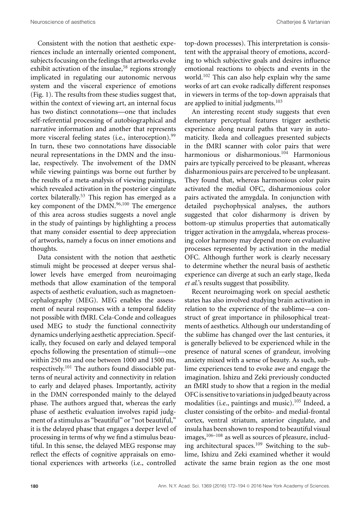Consistent with the notion that aesthetic experiences include an internally oriented component, subjects focusing on the feelings that artworks evoke exhibit activation of the insulae,<sup>58</sup> regions strongly implicated in regulating our autonomic nervous system and the visceral experience of emotions (Fig. 1). The results from these studies suggest that, within the context of viewing art, an internal focus has two distinct connotations—one that includes self-referential processing of autobiographical and narrative information and another that represents more visceral feeling states (i.e., interoception).<sup>99</sup> In turn, these two connotations have dissociable neural representations in the DMN and the insulae, respectively. The involvement of the DMN while viewing paintings was borne out further by the results of a meta-analysis of viewing paintings, which revealed activation in the posterior cingulate cortex bilaterally.<sup>53</sup> This region has emerged as a key component of the  $DMN$ .<sup>96,100</sup> The emergence of this area across studies suggests a novel angle in the study of paintings by highlighting a process that many consider essential to deep appreciation of artworks, namely a focus on inner emotions and thoughts.

Data consistent with the notion that aesthetic stimuli might be processed at deeper versus shallower levels have emerged from neuroimaging methods that allow examination of the temporal aspects of aesthetic evaluation, such as magnetoencephalography (MEG). MEG enables the assessment of neural responses with a temporal fidelity not possible with fMRI. Cela-Conde and colleagues used MEG to study the functional connectivity dynamics underlying aesthetic appreciation. Specifically, they focused on early and delayed temporal epochs following the presentation of stimuli—one within 250 ms and one between 1000 and 1500 ms, respectively.<sup>101</sup> The authors found dissociable patterns of neural activity and connectivity in relation to early and delayed phases. Importantly, activity in the DMN corresponded mainly to the delayed phase. The authors argued that, whereas the early phase of aesthetic evaluation involves rapid judgment of a stimulus as "beautiful" or "not beautiful," it is the delayed phase that engages a deeper level of processing in terms of why we find a stimulus beautiful. In this sense, the delayed MEG response may reflect the effects of cognitive appraisals on emotional experiences with artworks (i.e., controlled top-down processes). This interpretation is consistent with the appraisal theory of emotions, according to which subjective goals and desires influence emotional reactions to objects and events in the world.<sup>102</sup> This can also help explain why the same works of art can evoke radically different responses in viewers in terms of the top-down appraisals that are applied to initial judgments.<sup>103</sup>

An interesting recent study suggests that even elementary perceptual features trigger aesthetic experience along neural paths that vary in automaticity. Ikeda and colleagues presented subjects in the fMRI scanner with color pairs that were harmonious or disharmonious.<sup>104</sup> Harmonious pairs are typically perceived to be pleasant, whereas disharmonious pairs are perceived to be unpleasant. They found that, whereas harmonious color pairs activated the medial OFC, disharmonious color pairs activated the amygdala. In conjunction with detailed psychophysical analyses, the authors suggested that color disharmony is driven by bottom-up stimulus properties that automatically trigger activation in the amygdala, whereas processing color harmony may depend more on evaluative processes represented by activation in the medial OFC. Although further work is clearly necessary to determine whether the neural basis of aesthetic experience can diverge at such an early stage, Ikeda *et al.*'s results suggest that possibility.

Recent neuroimaging work on special aesthetic states has also involved studying brain activation in relation to the experience of the sublime—a construct of great importance in philosophical treatments of aesthetics. Although our understanding of the sublime has changed over the last centuries, it is generally believed to be experienced while in the presence of natural scenes of grandeur, involving anxiety mixed with a sense of beauty. As such, sublime experiences tend to evoke awe and engage the imagination. Ishizu and Zeki previously conducted an fMRI study to show that a region in the medial OFC is sensitive to variations in judged beauty across modalities (i.e., paintings and music).<sup>105</sup> Indeed, a cluster consisting of the orbito- and medial-frontal cortex, ventral striatum, anterior cingulate, and insula has been shown to respond to beautiful visual images, $106-108$  as well as sources of pleasure, including architectural spaces. $109$  Switching to the sublime, Ishizu and Zeki examined whether it would activate the same brain region as the one most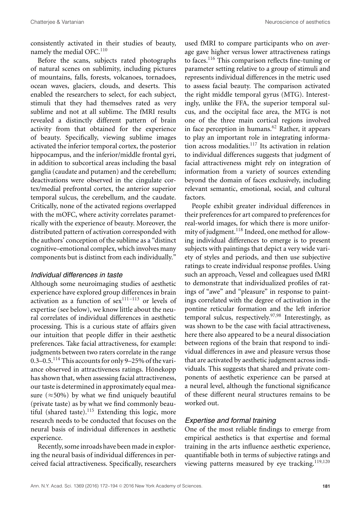consistently activated in their studies of beauty, namely the medial OFC.<sup>110</sup>

Before the scans, subjects rated photographs of natural scenes on sublimity, including pictures of mountains, falls, forests, volcanoes, tornadoes, ocean waves, glaciers, clouds, and deserts. This enabled the researchers to select, for each subject, stimuli that they had themselves rated as very sublime and not at all sublime. The fMRI results revealed a distinctly different pattern of brain activity from that obtained for the experience of beauty. Specifically, viewing sublime images activated the inferior temporal cortex, the posterior hippocampus, and the inferior/middle frontal gyri, in addition to subcortical areas including the basal ganglia (caudate and putamen) and the cerebellum; deactivations were observed in the cingulate cortex/medial prefrontal cortex, the anterior superior temporal sulcus, the cerebellum, and the caudate. Critically, none of the activated regions overlapped with the mOFC, where activity correlates parametrically with the experience of beauty. Moreover, the distributed pattern of activation corresponded with the authors' conception of the sublime as a "distinct cognitive–emotional complex, which involves many components but is distinct from each individually."

#### *Individual differences in taste*

Although some neuroimaging studies of aesthetic experience have explored group differences in brain activation as a function of  $sex^{111-113}$  or levels of expertise (see below), we know little about the neural correlates of individual differences in aesthetic processing. This is a curious state of affairs given our intuition that people differ in their aesthetic preferences. Take facial attractiveness, for example: judgments between two raters correlate in the range 0.3–0.5.<sup>114</sup> This accounts for only 9–25% of the variance observed in attractiveness ratings. Hönekopp has shown that, when assessing facial attractiveness, our taste is determined in approximately equal measure ( $\approx$  50%) by what we find uniquely beautiful (private taste) as by what we find commonly beautiful (shared taste). $115$  Extending this logic, more research needs to be conducted that focuses on the neural basis of individual differences in aesthetic experience.

Recently, some inroads have been made in exploring the neural basis of individual differences in perceived facial attractiveness. Specifically, researchers

used fMRI to compare participants who on average gave higher versus lower attractiveness ratings to faces.<sup>116</sup> This comparison reflects fine-tuning or parameter setting relative to a group of stimuli and represents individual differences in the metric used to assess facial beauty. The comparison activated the right middle temporal gyrus (MTG). Interestingly, unlike the FFA, the superior temporal sulcus, and the occipital face area, the MTG is not one of the three main cortical regions involved in face perception in humans. $62$  Rather, it appears to play an important role in integrating information across modalities.<sup>117</sup> Its activation in relation to individual differences suggests that judgment of facial attractiveness might rely on integration of information from a variety of sources extending beyond the domain of faces exclusively, including relevant semantic, emotional, social, and cultural factors.

People exhibit greater individual differences in their preferences for art compared to preferences for real-world images, for which there is more uniformity of judgment.<sup>118</sup> Indeed, one method for allowing individual differences to emerge is to present subjects with paintings that depict a very wide variety of styles and periods, and then use subjective ratings to create individual response profiles. Using such an approach, Vessel and colleagues used fMRI to demonstrate that individualized profiles of ratings of "awe" and "pleasure" in response to paintings correlated with the degree of activation in the pontine reticular formation and the left inferior temporal sulcus, respectively.97,98 Interestingly, as was shown to be the case with facial attractiveness, here there also appeared to be a neural dissociation between regions of the brain that respond to individual differences in awe and pleasure versus those that are activated by aesthetic judgment across individuals. This suggests that shared and private components of aesthetic experience can be parsed at a neural level, although the functional significance of these different neural structures remains to be worked out.

#### *Expertise and formal training*

One of the most reliable findings to emerge from empirical aesthetics is that expertise and formal training in the arts influence aesthetic experience, quantifiable both in terms of subjective ratings and viewing patterns measured by eye tracking. $119,120$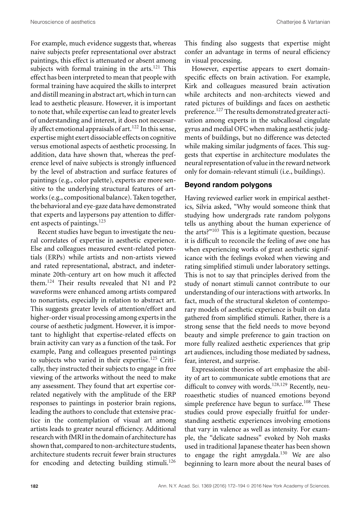For example, much evidence suggests that, whereas naive subjects prefer representational over abstract paintings, this effect is attenuated or absent among subjects with formal training in the arts. $121$  This effect has been interpreted to mean that people with formal training have acquired the skills to interpret and distill meaning in abstract art, which in turn can lead to aesthetic pleasure. However, it is important to note that, while expertise can lead to greater levels of understanding and interest, it does not necessarily affect emotional appraisals of art.<sup>122</sup> In this sense, expertise might exert dissociable effects on cognitive versus emotional aspects of aesthetic processing. In addition, data have shown that, whereas the preference level of naive subjects is strongly influenced by the level of abstraction and surface features of paintings (e.g., color palette), experts are more sensitive to the underlying structural features of artworks (e.g., compositional balance). Taken together, the behavioral and eye-gaze data have demonstrated that experts and laypersons pay attention to different aspects of paintings.<sup>123</sup>

Recent studies have begun to investigate the neural correlates of expertise in aesthetic experience. Else and colleagues measured event-related potentials (ERPs) while artists and non-artists viewed and rated representational, abstract, and indeterminate 20th-century art on how much it affected them.<sup>124</sup> Their results revealed that N1 and P2 waveforms were enhanced among artists compared to nonartists, especially in relation to abstract art. This suggests greater levels of attention/effort and higher-order visual processing among experts in the course of aesthetic judgment. However, it is important to highlight that expertise-related effects on brain activity can vary as a function of the task. For example, Pang and colleagues presented paintings to subjects who varied in their expertise.125 Critically, they instructed their subjects to engage in free viewing of the artworks without the need to make any assessment. They found that art expertise correlated negatively with the amplitude of the ERP responses to paintings in posterior brain regions, leading the authors to conclude that extensive practice in the contemplation of visual art among artists leads to greater neural efficiency. Additional research with fMRI in the domain of architecture has shown that, compared to non-architecture students, architecture students recruit fewer brain structures for encoding and detecting building stimuli.<sup>126</sup> This finding also suggests that expertise might confer an advantage in terms of neural efficiency in visual processing.

However, expertise appears to exert domainspecific effects on brain activation. For example, Kirk and colleagues measured brain activation while architects and non-architects viewed and rated pictures of buildings and faces on aesthetic preference.<sup>127</sup> The results demonstrated greater activation among experts in the subcallosal cingulate gyrus and medial OFC when making aesthetic judgments of buildings, but no difference was detected while making similar judgments of faces. This suggests that expertise in architecture modulates the neural representation of value in the reward network only for domain-relevant stimuli (i.e., buildings).

## **Beyond random polygons**

Having reviewed earlier work in empirical aesthetics, Silvia asked, "Why would someone think that studying how undergrads rate random polygons tells us anything about the human experience of the arts?"<sup>103</sup> This is a legitimate question, because it is difficult to reconcile the feeling of awe one has when experiencing works of great aesthetic significance with the feelings evoked when viewing and rating simplified stimuli under laboratory settings. This is not to say that principles derived from the study of nonart stimuli cannot contribute to our understanding of our interactions with artworks. In fact, much of the structural skeleton of contemporary models of aesthetic experience is built on data gathered from simplified stimuli. Rather, there is a strong sense that the field needs to move beyond beauty and simple preference to gain traction on more fully realized aesthetic experiences that grip art audiences, including those mediated by sadness, fear, interest, and surprise.

Expressionist theories of art emphasize the ability of art to communicate subtle emotions that are difficult to convey with words.<sup>128,129</sup> Recently, neuroaesthetic studies of nuanced emotions beyond simple preference have begun to surface.<sup>108</sup> These studies could prove especially fruitful for understanding aesthetic experiences involving emotions that vary in valence as well as intensity. For example, the "delicate sadness" evoked by Noh masks used in traditional Japanese theater has been shown to engage the right amygdala.<sup>130</sup> We are also beginning to learn more about the neural bases of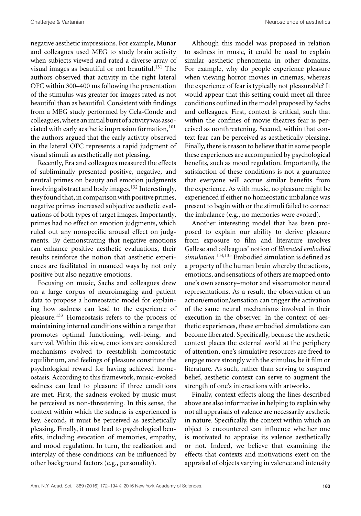negative aesthetic impressions. For example, Munar and colleagues used MEG to study brain activity when subjects viewed and rated a diverse array of visual images as beautiful or not beautiful. $131$  The authors observed that activity in the right lateral OFC within 300–400 ms following the presentation of the stimulus was greater for images rated as not beautiful than as beautiful. Consistent with findings from a MEG study performed by Cela-Conde and colleagues,where aninitial burst of activitywas associated with early aesthetic impression formation, $101$ the authors argued that the early activity observed in the lateral OFC represents a rapid judgment of visual stimuli as aesthetically not pleasing.

Recently, Era and colleagues measured the effects of subliminally presented positive, negative, and neutral primes on beauty and emotion judgments involving abstract and body images.132 Interestingly, they found that, in comparison with positive primes, negative primes increased subjective aesthetic evaluations of both types of target images. Importantly, primes had no effect on emotion judgments, which ruled out any nonspecific arousal effect on judgments. By demonstrating that negative emotions can enhance positive aesthetic evaluations, their results reinforce the notion that aesthetic experiences are facilitated in nuanced ways by not only positive but also negative emotions.

Focusing on music, Sachs and colleagues drew on a large corpus of neuroimaging and patient data to propose a homeostatic model for explaining how sadness can lead to the experience of pleasure.<sup>133</sup> Homeostasis refers to the process of maintaining internal conditions within a range that promotes optimal functioning, well-being, and survival. Within this view, emotions are considered mechanisms evolved to reestablish homeostatic equilibrium, and feelings of pleasure constitute the psychological reward for having achieved homeostasis. According to this framework, music-evoked sadness can lead to pleasure if three conditions are met. First, the sadness evoked by music must be perceived as non-threatening. In this sense, the context within which the sadness is experienced is key. Second, it must be perceived as aesthetically pleasing. Finally, it must lead to psychological benefits, including evocation of memories, empathy, and mood regulation. In turn, the realization and interplay of these conditions can be influenced by other background factors (e.g., personality).

Although this model was proposed in relation to sadness in music, it could be used to explain similar aesthetic phenomena in other domains. For example, why do people experience pleasure when viewing horror movies in cinemas, whereas the experience of fear is typically not pleasurable? It would appear that this setting could meet all three conditions outlined in the model proposed by Sachs and colleagues. First, context is critical, such that within the confines of movie theatres fear is perceived as nonthreatening. Second, within that context fear can be perceived as aesthetically pleasing. Finally, there is reason to believe that in some people these experiences are accompanied by psychological benefits, such as mood regulation. Importantly, the satisfaction of these conditions is not a guarantee that everyone will accrue similar benefits from the experience. As with music, no pleasure might be experienced if either no homeostatic imbalance was present to begin with or the stimuli failed to correct the imbalance (e.g., no memories were evoked).

Another interesting model that has been proposed to explain our ability to derive pleasure from exposure to film and literature involves Gallese and colleagues' notion of *liberated embodied simulation*. 134,135 Embodied simulation is defined as a property of the human brain whereby the actions, emotions, and sensations of others are mapped onto one's own sensory–motor and visceromotor neural representations. As a result, the observation of an action/emotion/sensation can trigger the activation of the same neural mechanisms involved in their execution in the observer. In the context of aesthetic experiences, these embodied simulations can become liberated. Specifically, because the aesthetic context places the external world at the periphery of attention, one's simulative resources are freed to engage more strongly with the stimulus, be it film or literature. As such, rather than serving to suspend belief, aesthetic context can serve to augment the strength of one's interactions with artworks.

Finally, context effects along the lines described above are also informative in helping to explain why not all appraisals of valence are necessarily aesthetic in nature. Specifically, the context within which an object is encountered can influence whether one is motivated to appraise its valence aesthetically or not. Indeed, we believe that examining the effects that contexts and motivations exert on the appraisal of objects varying in valence and intensity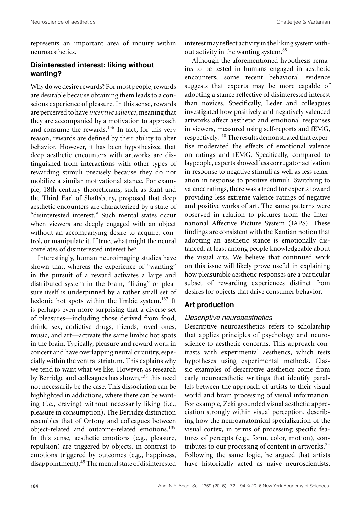represents an important area of inquiry within neuroaesthetics.

# **Disinterested interest: liking without wanting?**

Why do we desire rewards? For most people, rewards are desirable because obtaining them leads to a conscious experience of pleasure. In this sense, rewards are perceived to have *incentive salience*, meaning that they are accompanied by a motivation to approach and consume the rewards.<sup>136</sup> In fact, for this very reason, rewards are defined by their ability to alter behavior. However, it has been hypothesized that deep aesthetic encounters with artworks are distinguished from interactions with other types of rewarding stimuli precisely because they do not mobilize a similar motivational stance. For example, 18th-century theoreticians, such as Kant and the Third Earl of Shaftsbury, proposed that deep aesthetic encounters are characterized by a state of "disinterested interest." Such mental states occur when viewers are deeply engaged with an object without an accompanying desire to acquire, control, or manipulate it. If true, what might the neural correlates of disinterested interest be?

Interestingly, human neuroimaging studies have shown that, whereas the experience of "wanting" in the pursuit of a reward activates a large and distributed system in the brain, "liking" or pleasure itself is underpinned by a rather small set of hedonic hot spots within the limbic system.<sup>137</sup> It is perhaps even more surprising that a diverse set of pleasures—including those derived from food, drink, sex, addictive drugs, friends, loved ones, music, and art—activate the same limbic hot spots in the brain. Typically, pleasure and reward work in concert and have overlapping neural circuitry, especially within the ventral striatum. This explains why we tend to want what we like. However, as research by Berridge and colleagues has shown,<sup>138</sup> this need not necessarily be the case. This dissociation can be highlighted in addictions, where there can be wanting (i.e., craving) without necessarily liking (i.e., pleasure in consumption). The Berridge distinction resembles that of Ortony and colleagues between object-related and outcome-related emotions.<sup>139</sup> In this sense, aesthetic emotions (e.g., pleasure, repulsion) are triggered by objects, in contrast to emotions triggered by outcomes (e.g., happiness, disappointment).<sup>45</sup> The mental state of disinterested interest may reflect activity in the liking system without activity in the wanting system.<sup>88</sup>

Although the aforementioned hypothesis remains to be tested in humans engaged in aesthetic encounters, some recent behavioral evidence suggests that experts may be more capable of adopting a stance reflective of disinterested interest than novices. Specifically, Leder and colleagues investigated how positively and negatively valenced artworks affect aesthetic and emotional responses in viewers, measured using self-reports and fEMG, respectively.<sup>140</sup> The results demonstrated that expertise moderated the effects of emotional valence on ratings and fEMG. Specifically, compared to laypeople, experts showed less corrugator activation in response to negative stimuli as well as less relaxation in response to positive stimuli. Switching to valence ratings, there was a trend for experts toward providing less extreme valence ratings of negative and positive works of art. The same patterns were observed in relation to pictures from the International Affective Picture System (IAPS). These findings are consistent with the Kantian notion that adopting an aesthetic stance is emotionally distanced, at least among people knowledgeable about the visual arts. We believe that continued work on this issue will likely prove useful in explaining how pleasurable aesthetic responses are a particular subset of rewarding experiences distinct from desires for objects that drive consumer behavior.

#### **Art production**

#### *Descriptive neuroaesthetics*

Descriptive neuroaesthetics refers to scholarship that applies principles of psychology and neuroscience to aesthetic concerns. This approach contrasts with experimental aesthetics, which tests hypotheses using experimental methods. Classic examples of descriptive aesthetics come from early neuroaesthetic writings that identify parallels between the approach of artists to their visual world and brain processing of visual information. For example, Zeki grounded visual aesthetic appreciation strongly within visual perception, describing how the neuroanatomical specialization of the visual cortex, in terms of processing specific features of percepts (e.g., form, color, motion), contributes to our processing of content in artworks. $^{23}$ Following the same logic, he argued that artists have historically acted as naive neuroscientists,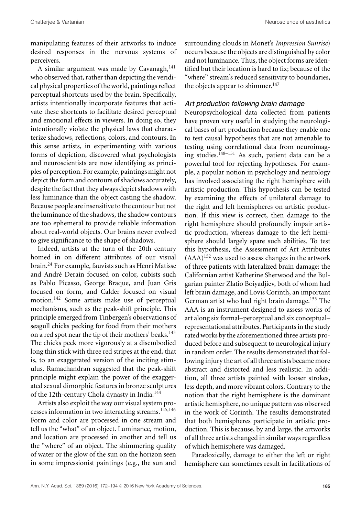manipulating features of their artworks to induce desired responses in the nervous systems of perceivers.

A similar argument was made by Cavanagh,  $141$ who observed that, rather than depicting the veridical physical properties of the world, paintings reflect perceptual shortcuts used by the brain. Specifically, artists intentionally incorporate features that activate these shortcuts to facilitate desired perceptual and emotional effects in viewers. In doing so, they intentionally violate the physical laws that characterize shadows, reflections, colors, and contours. In this sense artists, in experimenting with various forms of depiction, discovered what psychologists and neuroscientists are now identifying as principles of perception. For example, paintings might not depict the form and contours of shadows accurately, despite the fact that they always depict shadows with less luminance than the object casting the shadow. Because people are insensitive to the contour but not the luminance of the shadows, the shadow contours are too ephemeral to provide reliable information about real-world objects. Our brains never evolved to give significance to the shape of shadows.

Indeed, artists at the turn of the 20th century homed in on different attributes of our visual brain.<sup>24</sup> For example, fauvists such as Henri Matisse and André Derain focused on color, cubists such as Pablo Picasso, George Braque, and Juan Gris focused on form, and Calder focused on visual motion.<sup>142</sup> Some artists make use of perceptual mechanisms, such as the peak-shift principle. This principle emerged from Tinbergen's observations of seagull chicks pecking for food from their mothers on a red spot near the tip of their mothers' beaks.<sup>143</sup> The chicks peck more vigorously at a disembodied long thin stick with three red stripes at the end, that is, to an exaggerated version of the inciting stimulus. Ramachandran suggested that the peak-shift principle might explain the power of the exaggerated sexual dimorphic features in bronze sculptures of the 12th-century Chola dynasty in India.<sup>144</sup>

Artists also exploit the way our visual system processes information in two interacting streams.<sup>145,146</sup> Form and color are processed in one stream and tell us the "what" of an object. Luminance, motion, and location are processed in another and tell us the "where" of an object. The shimmering quality of water or the glow of the sun on the horizon seen in some impressionist paintings (e.g., the sun and surrounding clouds in Monet's *Impression Sunrise*) occurs because the objects are distinguished by color and not luminance. Thus, the object forms are identified but their location is hard to fix; because of the "where" stream's reduced sensitivity to boundaries, the objects appear to shimmer.<sup>147</sup>

# *Art production following brain damage*

Neuropsychological data collected from patients have proven very useful in studying the neurological bases of art production because they enable one to test causal hypotheses that are not amenable to testing using correlational data from neuroimaging studies.148–151 As such, patient data can be a powerful tool for rejecting hypotheses. For example, a popular notion in psychology and neurology has involved associating the right hemisphere with artistic production. This hypothesis can be tested by examining the effects of unilateral damage to the right and left hemispheres on artistic production. If this view is correct, then damage to the right hemisphere should profoundly impair artistic production, whereas damage to the left hemisphere should largely spare such abilities. To test this hypothesis, the Assessment of Art Attributes  $(AAA)^{152}$  was used to assess changes in the artwork of three patients with lateralized brain damage: the Californian artist Katherine Sherwood and the Bulgarian painter Zlatio Boiyadjiev, both of whom had left brain damage, and Lovis Corinth, an important German artist who had right brain damage.153 The AAA is an instrument designed to assess works of art along six formal–perceptual and six conceptual– representational attributes. Participants in the study rated works by the aforementioned three artists produced before and subsequent to neurological injury in random order. The results demonstrated that following injury the art of all three artists became more abstract and distorted and less realistic. In addition, all three artists painted with looser strokes, less depth, and more vibrant colors. Contrary to the notion that the right hemisphere is the dominant artistic hemisphere, no unique pattern was observed in the work of Corinth. The results demonstrated that both hemispheres participate in artistic production. This is because, by and large, the artworks of all three artists changed in similar ways regardless of which hemisphere was damaged.

Paradoxically, damage to either the left or right hemisphere can sometimes result in facilitations of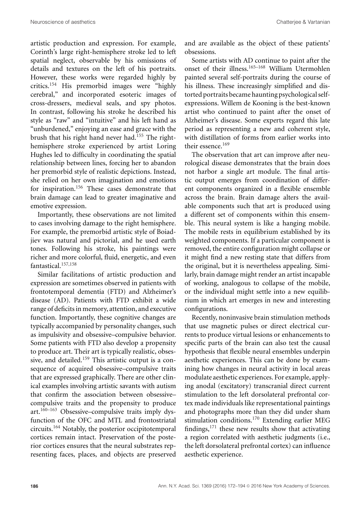artistic production and expression. For example, Corinth's large right-hemisphere stroke led to left spatial neglect, observable by his omissions of details and textures on the left of his portraits. However, these works were regarded highly by critics.<sup>154</sup> His premorbid images were "highly cerebral," and incorporated esoteric images of cross-dressers, medieval seals, and spy photos. In contrast, following his stroke he described his style as "raw" and "intuitive" and his left hand as "unburdened," enjoying an ease and grace with the brush that his right hand never had.<sup>155</sup> The righthemisphere stroke experienced by artist Loring Hughes led to difficulty in coordinating the spatial relationship between lines, forcing her to abandon her premorbid style of realistic depictions. Instead, she relied on her own imagination and emotions for inspiration.156 These cases demonstrate that brain damage can lead to greater imaginative and emotive expression.

Importantly, these observations are not limited to cases involving damage to the right hemisphere. For example, the premorbid artistic style of Boiadjiev was natural and pictorial, and he used earth tones. Following his stroke, his paintings were richer and more colorful, fluid, energetic, and even fantastical.157,158

Similar facilitations of artistic production and expression are sometimes observed in patients with frontotemporal dementia (FTD) and Alzheimer's disease (AD). Patients with FTD exhibit a wide range of deficits in memory, attention, and executive function. Importantly, these cognitive changes are typically accompanied by personality changes, such as impulsivity and obsessive–compulsive behavior. Some patients with FTD also develop a propensity to produce art. Their art is typically realistic, obsessive, and detailed.<sup>159</sup> This artistic output is a consequence of acquired obsessive–compulsive traits that are expressed graphically. There are other clinical examples involving artistic savants with autism that confirm the association between obsessive– compulsive traits and the propensity to produce art. $160-163$  Obsessive–compulsive traits imply dysfunction of the OFC and MTL and frontostriatal circuits.<sup>164</sup> Notably, the posterior occipitotemporal cortices remain intact. Preservation of the posterior cortices ensures that the neural substrates representing faces, places, and objects are preserved

and are available as the object of these patients' obsessions.

Some artists with AD continue to paint after the onset of their illness.165–168 William Utermohlen painted several self-portraits during the course of his illness. These increasingly simplified and distorted portraits became haunting psychological selfexpressions. Willem de Kooning is the best-known artist who continued to paint after the onset of Alzheimer's disease. Some experts regard this late period as representing a new and coherent style, with distillation of forms from earlier works into their essence.<sup>169</sup>

The observation that art can improve after neurological disease demonstrates that the brain does not harbor a single art module. The final artistic output emerges from coordination of different components organized in a flexible ensemble across the brain. Brain damage alters the available components such that art is produced using a different set of components within this ensemble. This neural system is like a hanging mobile. The mobile rests in equilibrium established by its weighted components. If a particular component is removed, the entire configuration might collapse or it might find a new resting state that differs from the original, but it is nevertheless appealing. Similarly, brain damage might render an artist incapable of working, analogous to collapse of the mobile, or the individual might settle into a new equilibrium in which art emerges in new and interesting configurations.

Recently, noninvasive brain stimulation methods that use magnetic pulses or direct electrical currents to produce virtual lesions or enhancements to specific parts of the brain can also test the causal hypothesis that flexible neural ensembles underpin aesthetic experiences. This can be done by examining how changes in neural activity in local areas modulate aesthetic experiences. For example, applying anodal (excitatory) transcranial direct current stimulation to the left dorsolateral prefrontal cortex made individuals like representational paintings and photographs more than they did under sham stimulation conditions.<sup>170</sup> Extending earlier MEG findings, $171$  these new results show that activating a region correlated with aesthetic judgments (i.e., the left dorsolateral prefrontal cortex) can influence aesthetic experience.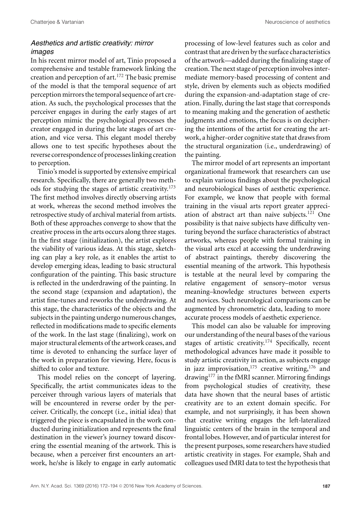# *Aesthetics and artistic creativity: mirror images*

In his recent mirror model of art, Tinio proposed a comprehensive and testable framework linking the creation and perception of  $art.<sup>172</sup>$  The basic premise of the model is that the temporal sequence of art perception mirrors the temporal sequence of art creation. As such, the psychological processes that the perceiver engages in during the early stages of art perception mimic the psychological processes the creator engaged in during the late stages of art creation, and vice versa. This elegant model thereby allows one to test specific hypotheses about the reverse correspondence of processes linking creation to perception.

Tinio's model is supported by extensive empirical research. Specifically, there are generally two methods for studying the stages of artistic creativity.<sup>173</sup> The first method involves directly observing artists at work, whereas the second method involves the retrospective study of archival material from artists. Both of these approaches converge to show that the creative process in the arts occurs along three stages. In the first stage (initialization), the artist explores the viability of various ideas. At this stage, sketching can play a key role, as it enables the artist to develop emerging ideas, leading to basic structural configuration of the painting. This basic structure is reflected in the underdrawing of the painting. In the second stage (expansion and adaptation), the artist fine-tunes and reworks the underdrawing. At this stage, the characteristics of the objects and the subjects in the painting undergo numerous changes, reflected in modifications made to specific elements of the work. In the last stage (finalizing), work on major structural elements of the artwork ceases, and time is devoted to enhancing the surface layer of the work in preparation for viewing. Here, focus is shifted to color and texture.

This model relies on the concept of layering. Specifically, the artist communicates ideas to the perceiver through various layers of materials that will be encountered in reverse order by the perceiver. Critically, the concept (i.e., initial idea) that triggered the piece is encapsulated in the work conducted during initialization and represents the final destination in the viewer's journey toward discovering the essential meaning of the artwork. This is because, when a perceiver first encounters an artwork, he/she is likely to engage in early automatic processing of low-level features such as color and contrast that are driven by the surface characteristics of the artwork—added during the finalizing stage of creation. The next stage of perception involves intermediate memory-based processing of content and style, driven by elements such as objects modified during the expansion-and-adaptation stage of creation. Finally, during the last stage that corresponds to meaning making and the generation of aesthetic judgments and emotions, the focus is on deciphering the intentions of the artist for creating the artwork, a higher-order cognitive state that draws from the structural organization (i.e., underdrawing) of the painting.

The mirror model of art represents an important organizational framework that researchers can use to explain various findings about the psychological and neurobiological bases of aesthetic experience. For example, we know that people with formal training in the visual arts report greater appreciation of abstract art than naive subjects.<sup>121</sup> One possibility is that naive subjects have difficulty venturing beyond the surface characteristics of abstract artworks, whereas people with formal training in the visual arts excel at accessing the underdrawing of abstract paintings, thereby discovering the essential meaning of the artwork. This hypothesis is testable at the neural level by comparing the relative engagement of sensory–motor versus meaning–knowledge structures between experts and novices. Such neurological comparisons can be augmented by chronometric data, leading to more accurate process models of aesthetic experience.

This model can also be valuable for improving our understanding of the neural bases of the various stages of artistic creativity.<sup>174</sup> Specifically, recent methodological advances have made it possible to study artistic creativity in action, as subjects engage in jazz improvisation,  $175$  creative writing,  $176$  and drawing<sup>177</sup> in the fMRI scanner. Mirroring findings from psychological studies of creativity, these data have shown that the neural bases of artistic creativity are to an extent domain specific. For example, and not surprisingly, it has been shown that creative writing engages the left-lateralized linguistic centers of the brain in the temporal and frontal lobes. However, and of particular interest for the present purposes, some researchers have studied artistic creativity in stages. For example, Shah and colleagues used fMRI data to test the hypothesis that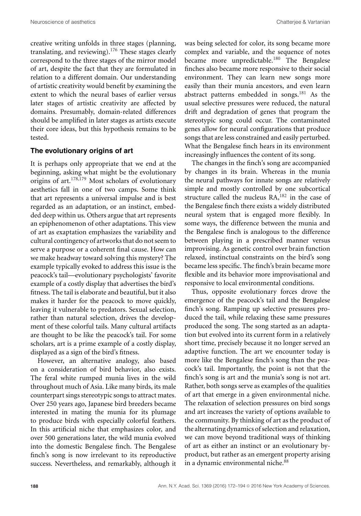creative writing unfolds in three stages (planning, translating, and reviewing).<sup>176</sup> These stages clearly correspond to the three stages of the mirror model of art, despite the fact that they are formulated in relation to a different domain. Our understanding of artistic creativity would benefit by examining the extent to which the neural bases of earlier versus later stages of artistic creativity are affected by domains. Presumably, domain-related differences should be amplified in later stages as artists execute their core ideas, but this hypothesis remains to be tested.

## **The evolutionary origins of art**

It is perhaps only appropriate that we end at the beginning, asking what might be the evolutionary origins of art.178,179 Most scholars of evolutionary aesthetics fall in one of two camps. Some think that art represents a universal impulse and is best regarded as an adaptation, or an instinct, embedded deep within us. Others argue that art represents an epiphenomenon of other adaptations. This view of art as exaptation emphasizes the variability and cultural contingency of artworks that do not seem to serve a purpose or a coherent final cause. How can we make headway toward solving this mystery? The example typically evoked to address this issue is the peacock's tail—evolutionary psychologists' favorite example of a costly display that advertises the bird's fitness. The tail is elaborate and beautiful, but it also makes it harder for the peacock to move quickly, leaving it vulnerable to predators. Sexual selection, rather than natural selection, drives the development of these colorful tails. Many cultural artifacts are thought to be like the peacock's tail. For some scholars, art is a prime example of a costly display, displayed as a sign of the bird's fitness.

However, an alternative analogy, also based on a consideration of bird behavior, also exists. The feral white rumped munia lives in the wild throughout much of Asia. Like many birds, its male counterpart sings stereotypic songs to attract mates. Over 250 years ago, Japanese bird breeders became interested in mating the munia for its plumage to produce birds with especially colorful feathers. In this artificial niche that emphasizes color, and over 500 generations later, the wild munia evolved into the domestic Bengalese finch. The Bengalese finch's song is now irrelevant to its reproductive success. Nevertheless, and remarkably, although it was being selected for color, its song became more complex and variable, and the sequence of notes became more unpredictable.<sup>180</sup> The Bengalese finches also became more responsive to their social environment. They can learn new songs more easily than their munia ancestors, and even learn abstract patterns embedded in songs.<sup>181</sup> As the usual selective pressures were reduced, the natural drift and degradation of genes that program the stereotypic song could occur. The contaminated genes allow for neural configurations that produce songs that are less constrained and easily perturbed. What the Bengalese finch hears in its environment increasingly influences the content of its song.

The changes in the finch's song are accompanied by changes in its brain. Whereas in the munia the neural pathways for innate songs are relatively simple and mostly controlled by one subcortical structure called the nucleus RA,<sup>182</sup> in the case of the Bengalese finch there exists a widely distributed neural system that is engaged more flexibly. In some ways, the difference between the munia and the Bengalese finch is analogous to the difference between playing in a prescribed manner versus improvising. As genetic control over brain function relaxed, instinctual constraints on the bird's song became less specific. The finch's brain became more flexible and its behavior more improvisational and responsive to local environmental conditions.

Thus, opposite evolutionary forces drove the emergence of the peacock's tail and the Bengalese finch's song. Ramping up selective pressures produced the tail, while relaxing these same pressures produced the song. The song started as an adaptation but evolved into its current form in a relatively short time, precisely because it no longer served an adaptive function. The art we encounter today is more like the Bengalese finch's song than the peacock's tail. Importantly, the point is not that the finch's song is art and the munia's song is not art. Rather, both songs serve as examples of the qualities of art that emerge in a given environmental niche. The relaxation of selection pressures on bird songs and art increases the variety of options available to the community. By thinking of art as the product of the alternating dynamics of selection and relaxation, we can move beyond traditional ways of thinking of art as either an instinct or an evolutionary byproduct, but rather as an emergent property arising in a dynamic environmental niche.<sup>88</sup>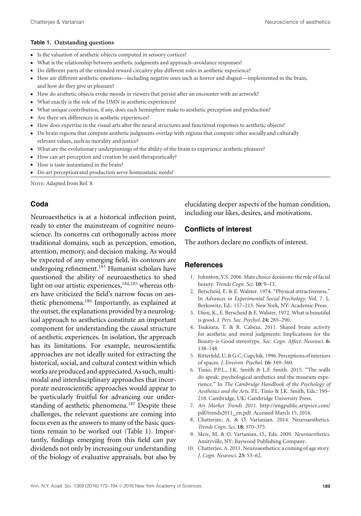#### **Table 1. Outstanding questions**

- -Is the valuation of aesthetic objects computed in sensory cortices?
- What is the relationship between aesthetic judgments and approach–avoidance responses?
- Do different parts of the extended reward circuitry play different roles in aesthetic experience?
- How are different aesthetic emotions—including negative ones such as horror and disgust—implemented in the brain, and how do they give us pleasure?
- How do aesthetic objects evoke moods in viewers that persist after an encounter with an artwork?
- -What exactly is the role of the DMN in aesthetic experiences?
- What unique contribution, if any, does each hemisphere make to aesthetic perception and production?
- Are there sex differences in aesthetic experiences?
- How does expertise in the visual arts alter the neural structures and functional responses to aesthetic objects?
- Do brain regions that compute aesthetic judgments overlap with regions that compute other socially and culturally relevant values, such as morality and justice?
- What are the evolutionary underpinnings of the ability of the brain to experience aesthetic pleasure?
- How can art perception and creation be used therapeutically?
- -How is taste instantiated in the brain?
- Do art perception and production serve homeostatic needs?

NOTE: Adapted from Ref. 8.

# **Coda**

Neuroaesthetics is at a historical inflection point, ready to enter the mainstream of cognitive neuroscience. Its concerns cut orthogonally across more traditional domains, such as perception, emotion, attention, memory, and decision making. As would be expected of any emerging field, its contours are undergoing refinement.183 Humanist scholars have questioned the ability of neuroaesthetics to shed light on our artistic experiences,<sup>184,185</sup> whereas others have criticized the field's narrow focus on aesthetic phenomena.<sup>186</sup> Importantly, as explained at the outset, the explanations provided by a neurological approach to aesthetics constitute an important component for understanding the causal structure of aesthetic experiences. In isolation, the approach has its limitations. For example, neuroscientific approaches are not ideally suited for extracting the historical, social, and cultural context within which works are produced and appreciated. As such, multimodal and interdisciplinary approaches that incorporate neuroscientific approaches would appear to be particularly fruitful for advancing our understanding of aesthetic phenomena.<sup>187</sup> Despite these challenges, the relevant questions are coming into focus even as the answers to many of the basic questions remain to be worked out (Table 1). Importantly, findings emerging from this field can pay dividends not only by increasing our understanding of the biology of evaluative appraisals, but also by elucidating deeper aspects of the human condition, including our likes, desires, and motivations.

# **Conflicts of interest**

The authors declare no conflicts of interest.

#### **References**

- 1. Johnston, V.S. 2006. Mate choice decisions: the role of facial beauty. *Trends Cogn. Sci.* **10:** 9–13.
- 2. Berscheid, E. & E. Walster. 1974. "Physical attractiveness." In *Advances in Experimental Social Psychology*. Vol. 7. L. Berkowitz, Ed.: 157–213. New York, NY: Academic Press.
- 3. Dion, K., E. Berscheid & E. Walster. 1972. What is beautiful is good. *J. Pers. Soc. Psychol.* **24:** 285–290.
- 4. Tsukiura, T. & R. Cabeza. 2011. Shared brain activity for aesthetic and moral judgments: Implications for the Beauty-is-Good stereotype. *Soc. Cogn. Affect. Neurosci.* **6:** 138–148.
- 5. Ritterfeld, U. & G.C. Cupchik. 1996. Perceptions of interiors of spaces. *J. Environ. Psychol.* **16:** 349–360.
- 6. Tinio, P.P.L., J.K. Smith & L.F. Smith. 2015. "The walls do speak: psychological aesthetics and the museum experience." In *The Cambridge Handbook of the Psychology of Aesthetics and the Arts*. P.L. Tinio & J.K. Smith, Eds.: 195– 218. Cambridge, UK: Cambridge University Press.
- 7. *Art Market Trends 2011*. [http://imgpublic.artprice.com/](http://imgpublic.artprice.com/pdf/trends2011_en.pdf) [pdf/trends2011\\_en.pdf.](http://imgpublic.artprice.com/pdf/trends2011_en.pdf) Accessed March 15, 2016.
- 8. Chatterjee, A. & O. Vartanian. 2014. Neuroaesthetics. *Trends Cogn. Sci.* **18:** 370–375.
- 9. Skov, M. & O. Vartanian, O., Eds. 2009. *Neuroaesthetics*. Amityville, NY: Baywood Publishing Company.
- 10. Chatterjee, A. 2011. Neuroaesthetics: a coming of age story. *J. Cogn. Neurosci.* **23:** 53–62.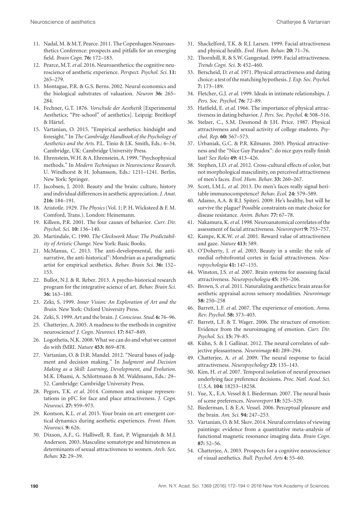- 11. Nadal, M. & M.T. Pearce. 2011. The Copenhagen Neuroaesthetics Conference: prospects and pitfalls for an emerging field. *Brain Cogn*. **76:** 172–183.
- 12. Pearce, M.T.*et al*. 2016. Neuroaesthetics: the cognitive neuroscience of aesthetic experience. *Perspect. Psychol. Sci*. **11:** 265–279.
- 13. Montague, P.R. & G.S. Berns. 2002. Neural economics and the biological substrates of valuation. *Neuron* **36:** 265– 284.
- 14. Fechner, G.T. 1876. *Vorschule der Aesthetik* [Experimental Aesthetics; "Pre-school" of aesthetics]. Leipzig: Breitkopf & Härtel.
- 15. Vartanian, O. 2015. "Empirical aesthetics: hindsight and foresight." In *The Cambridge Handbook of the Psychology of Aesthetics and the Arts*. P.L. Tinio & J.K. Smith, Eds.: 6–34. Cambridge, UK: Cambridge University Press.
- 16. Ehrenstein,W.H. & A. Ehrenstein, A. 1999. "Psychophysical methods." In *Modern Techniques in Neuroscience Research*. U. Windhorst & H. Johansson, Eds.: 1211–1241. Berlin, New York: Springer.
- 17. Jacobsen, J. 2010. Beauty and the brain: culture, history and individual differences in aesthetic appreciation.*J. Anat.* **216:** 184–191.
- 18. Aristotle. 1929. *The Physics* (Vol. 1; P. H. Wicksteed & F. M. Comford, Trans.). London: Heinemann.
- 19. Killeen, P.R. 2001. The four causes of behavior. *Curr. Dir. Psychol. Sci.* **10:** 136–140.
- 20. Martindale, C. 1990. *The Clockwork Muse: The Predictability of Artistic Change*. New York: Basic Books.
- 21. McManus, C. 2013. The anti-developmental, the antinarrative, the anti-historical": Mondrian as a paradigmatic artist for empirical aesthetics. *Behav. Brain Sci.* **36:** 152– 153.
- 22. Bullot, N.J. & R. Reber. 2013. A psycho-historical research program for the integrative science of art. *Behav. Brain Sci.* **36:** 163–180.
- 23. Zeki, S. 1999. *Inner Vision: An Exploration of Art and the Brain*. New York: Oxford University Press.
- 24. Zeki, S. 1999. Art and the brain.*J. Conscious. Stud.* **6:** 76–96.
- 25. Chatterjee, A. 2005. A madness to the methods in cognitive neuroscience? *J. Cogn. Neurosci.* **17:** 847–849.
- 26. Logothetis, N.K. 2008. What we can do and what we cannot do with fMRI. *Nature* **453:** 869–878.
- 27. Vartanian, O. & D.R. Mandel. 2012. "Neural bases of judgment and decision making." In *Judgment and Decision Making as a Skill: Learning, Development, and Evolution*. M.K. Dhami, A. Schlottmann & M. Waldmann, Eds.: 29– 52. Cambridge: Cambridge University Press.
- 28. Pegors, T.K. *et al*. 2014. Common and unique representations in pFC for face and place attractiveness. *J. Cogn. Neurosci.* **27:** 959–973.
- 29. Kontson, K.L. *et al*. 2015. Your brain on art: emergent cortical dynamics during aesthetic experiences. *Front. Hum. Neurosci.* **9:** 626.
- 30. Dixson, A.F., G. Halliwell, R. East, P. Wignarajah & M.J. Anderson. 2003. Masculine somatotype and hirsuteness as determinants of sexual attractiveness to women. *Arch. Sex. Behav.* **32:** 29–39.
- 31. Shackelford, T.K. & R.J. Larsen. 1999. Facial attractiveness and physical health. *Evol. Hum. Behav.* **20:** 71–76.
- 32. Thornhill, R. & S.W. Gangestad. 1999. Facial attractiveness. *Trends Cogn. Sci.* **3:** 452–460.
- 33. Berscheid, D. *et al*. 1971. Physical attractiveness and dating choice: a test of thematching hypothesis.*J. Exp. Soc. Psychol.* **7:** 173–189.
- 34. Fletcher, G.J. *et al*. 1999. Ideals in intimate relationships. *J. Pers. Soc. Psychol.* **76:** 72–89.
- 35. Hatfield, E. *et al*. 1966. The importance of physical attractiveness in dating behavior. *J. Pers. Soc. Psychol.* **4:** 508–516.
- 36. Stelzer, C., S.M. Desmond & J.H. Price. 1987. Physical attractiveness and sexual activity of college students. *Psychol. Rep.* **60:** 567–573.
- 37. Urbaniak, G.C. & P.R. Kilmann. 2003. Physical attractiveness and the "Nice Guy Paradox": do nice guys really finish last? *Sex Roles* **49:** 413–426.
- 38. Stephen, I.D. *et al*. 2012. Cross-cultural effects of color, but not morphological masculinity, on perceived attractiveness of men's faces. *Evol. Hum. Behav.* **33:** 260–267.
- 39. Scott, I.M.L. *et al*. 2013. Do men's faces really signal heritable immunocompetence? *Behav. Ecol.* **24:** 579–589.
- 40. Adamo, A.A. & R.J. Spiteri. 2009. He's healthy, but will he survive the plague? Possible constraints on mate choice for disease resistance. *Anim. Behav.* **77:** 67–78.
- 41. Nakamura, K.*et al*. 1998. Neuroanatomical correlates of the assessment of facial attractiveness. *Neuroreport* **9:** 753–757.
- 42. Kampe, K.K.W. *et al*. 2001. Reward value of attractiveness and gaze. *Nature* **413:** 589.
- 43. O'Doherty, J. *et al*. 2003. Beauty in a smile: the role of medial orbitofrontal cortex in facial attractiveness. *Neuropsychologia* **41:** 147–155.
- 44. Winston, J.S. *et al*. 2007. Brain systems for assessing facial attractiveness. *Neuropsychologia* **45:** 195–206.
- 45. Brown, S.*et al*. 2011. Naturalizing aesthetics: brain areas for aesthetic appraisal across sensory modalities. *Neuroimage* **58:** 250–258
- 46. Barrett, L.F. *et al*. 2007. The experience of emotion. *Annu. Rev. Psychol.* **58:** 373–403.
- 47. Barrett, L.F. & T. Wager. 2006. The structure of emotion: Evidence from the neuroimaging of emotion. *Curr. Dir. Psychol. Sci.* **15:** 79–85.
- 48. Kühn, S. & J. Gallinat. 2012. The neural correlates of subjective pleasantness. *Neuroimage* **61:** 289–294.
- 49. Chatterjee, A. *et al*. 2009. The neural response to facial attractiveness. *Neuropsychology* **23:** 135–143.
- 50. Kim, H. *et al*. 2007. Temporal isolation of neural processes underlying face preference decisions. *Proc. Natl. Acad. Sci. U.S.A.* **104:** 18253–18258.
- 51. Yue, X., E.A. Vessel & I. Biederman. 2007. The neural basis of scene preferences. *Neuroreport* **18:** 525–529.
- 52. Biederman, I. & E.A. Vessel. 2006. Perceptual pleasure and the brain. *Am. Sci.* **94:** 247–253.
- 53. Vartanian, O. & M. Skov. 2014. Neural correlates of viewing paintings: evidence from a quantitative meta-analysis of functional magnetic resonance imaging data. *Brain Cogn.* **87:** 52–56.
- 54. Chatterjee, A. 2003. Prospects for a cognitive neuroscience of visual aesthetics. *Bull. Psychol. Arts* **4:** 55–60.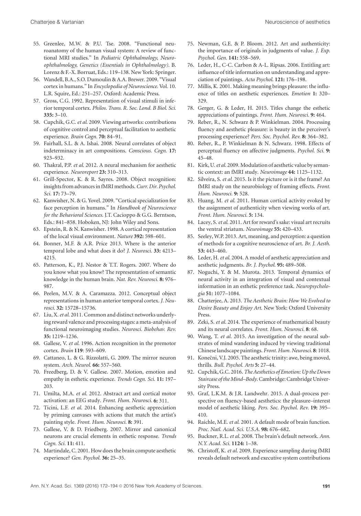- 55. Greenlee, M.W. & P.U. Tse. 2008. "Functional neuroanatomy of the human visual system: A review of functional MRI studies." In *Pediatric Ophthalmology, Neuroophthalmology, Genetics (Essentials in Ophthalmology)*. B. Lorenz & F.-X. Borruat, Eds.: 119–138. New York: Springer.
- 56. Wandell, B.A., S.O. Dumoulin & A.A. Brewer. 2009. "Visual cortex in humans." In *Encyclopedia of Neuroscience*. Vol. 10. L.R. Squire, Ed.: 251–257. Oxford: Academic Press.
- 57. Gross, C.G. 1992. Representation of visual stimuli in inferior temporal cortex. *Philos. Trans. R. Soc. Lond. B Biol. Sci.* **335:** 3–10.
- 58. Cupchik, G.C. *et al*. 2009. Viewing artworks: contributions of cognitive control and perceptual facilitation to aesthetic experience. *Brain Cogn.* **70:** 84–91.
- 59. Fairhall, S.L. & A. Ishai. 2008. Neural correlates of object indeterminacy in art compositions. *Conscious. Cogn.* **17:** 923–932.
- 60. Thakral, P.P. *et al*. 2012. A neural mechanism for aesthetic experience. *Neuroreport* **23:** 310–313.
- 61. Grill-Spector, K. & R. Sayres. 2008. Object recognition: insightsfrom advances infMRI methods.*Curr. Dir. Psychol. Sci.* **17:** 73–79.
- 62. Kanwisher, N. & G. Yovel. 2009. "Cortical specialization for face perception in humans." In *Handbook of Neuroscience for the Behavioral Sciences*. J.T. Cacioppo & G.G. Berntson, Eds.: 841–858. Hoboken, NJ: John Wiley and Sons.
- 63. Epstein, R. & N. Kanwisher. 1998. A cortical representation of the local visual environment. *Nature* **392:** 598–601.
- 64. Bonner, M.F. & A.R. Price 2013. Where is the anterior temporal lobe and what does it do? *J. Neurosci.* **33:** 4213– 4215.
- 65. Patterson, K., P.J. Nestor & T.T. Rogers. 2007. Where do you know what you know? The representation of semantic knowledge in the human brain. *Nat. Rev. Neurosci.* **8:** 976– 987.
- 66. Peelen, M.V. & A. Caramazza. 2012. Conceptual object representations in human anterior temporal cortex. *J. Neurosci.* **32:** 15728–15736.
- 67. Liu, X.*et al*. 2011. Common and distinct networks underlying reward valence and processing stages: a meta-analysis of functional neuroimaging studies*. Neurosci. Biobehav. Rev.* **35:** 1219–1236.
- 68. Gallese, V. *et al*. 1996. Action recognition in the premotor cortex. *Brain* **119**: 593–609.
- 69. Cattaneo, L. & G. Rizzolatti, G. 2009. The mirror neuron system. *Arch. Neurol.* **66:** 557–560.
- 70. Freedberg, D. & V. Gallese. 2007. Motion, emotion and empathy in esthetic experience. *Trends Cogn. Sci.* **11:** 197– 203.
- 71. Umilta, M.A. *et al*. 2012. Abstract art and cortical motor activation: an EEG study. *Front. Hum. Neurosci.* **6:** 311.
- 72. Ticini, L.F. *et al*. 2014. Enhancing aesthetic appreciation by priming canvases with actions that match the artist's painting style. *Front. Hum. Neurosci.* **8:** 391.
- 73. Gallese, V. & D. Friedberg. 2007. Mirror and canonical neurons are crucial elements in esthetic response. *Trends Cogn. Sci.* **11:** 411.
- 74. Martindale, C. 2001. How does the brain compute aesthetic experience? *Gen. Psychol.* **36:** 25–35.
- 75. Newman, G.E. & P. Bloom. 2012. Art and authenticity: the importance of originals in judgments of value. *J. Exp. Psychol. Gen.* **141:** 558–569.
- 76. Leder, H., C-C. Carbon & A-L. Ripsas. 2006. Entitling art: influence of title information on understanding and appreciation of paintings. *Acta Psychol*. **121:** 176–198.
- 77. Millis, K. 2001. Making meaning brings pleasure: the influence of titles on aesthetic experiences. *Emotion* **1:** 320– 329.
- 78. Gerger, G. & Leder, H. 2015. Titles change the esthetic appreciations of paintings. *Front. Hum. Neurosci.* **9:** 464.
- 79. Reber, R., N. Schwarz & P. Winkielman. 2004. Processing fluency and aesthetic pleasure: is beauty in the perceiver's processing experience? *Pers. Soc. Psychol. Rev.* **8:** 364–382.
- 80. Reber, R., P. Winkielman & N. Schwarz. 1998. Effects of perceptual fluency on affective judgments. *Psychol. Sci.* **9:** 45–48.
- 81. Kirk, U.*et al*. 2009.Modulation of aesthetic value by semantic context: an fMRI study. *Neuroimage* **44:** 1125–1132.
- 82. Silveira, S. *et al*. 2015. Is it the picture or is it the frame? An fMRI study on the neurobiology of framing effects. *Front. Hum. Neurosci.* **9:** 528.
- 83. Huang, M. *et al*. 2011. Human cortical activity evoked by the assignment of authenticity when viewing works of art. *Front. Hum. Neurosci.* **5:** 134.
- 84. Lacey, S.*et al*. 2011. Art for reward's sake: visual art recruits the ventral striatum. *Neuroimage* **55:** 420–433.
- 85. Seeley, W.P. 2013. Art, meaning, and perception: a question of methods for a cognitive neuroscience of art. *Br. J. Aesth.* **53:** 443–460.
- 86. Leder, H.*et al*. 2004. A model of aesthetic appreciation and aesthetic judgments. *Br. J. Psychol.* **95:** 489–508.
- 87. Noguchi, Y. & M. Murota. 2013. Temporal dynamics of neural activity in an integration of visual and contextual information in an esthetic preference task. *Neuropsychologia* **51:** 1077–1084.
- 88. Chatterjee, A. 2013. *The Aesthetic Brain: How We Evolved to Desire Beauty and Enjoy Art*. New York: Oxford University Press.
- 89. Zeki, S. *et al*. 2014. The experience of mathematical beauty and its neural correlates. *Front. Hum. Neurosci.* **8**: 68.
- 90. Wang, T. *et al*. 2015. An investigation of the neural substrates of mind wandering induced by viewing traditional Chinese landscape paintings. *Front. Hum. Neurosci.* **8**: 1018.
- 91. Konečni, V.J. 2005. The aesthetic trinity: awe, being moved, thrills. *Bull. Psychol. Arts* **5:** 27–44.
- 92. Cupchik, G.C. 2016. The Aesthetics of Emotion: Up the Down *Staircase oftheMind–Body*. Cambridge: Cambridge University Press.
- 93. Graf, L.K.M. & J.R. Landwehr. 2015. A dual-process perspective on fluency-based aesthetics: the pleasure–interest model of aesthetic liking. *Pers. Soc. Psychol. Rev.* **19:** 395– 410.
- 94. Raichle, M.E. *et al*. 2001. A default mode of brain function. *Proc. Natl. Acad. Sci. U.S.A.* **98:** 676–682.
- 95. Buckner, R.L.*et al*. 2008. The brain's default network. *Ann. N.Y. Acad. Sci.* **1124:** 1–38.
- 96. Christoff, K. *et al*. 2009. Experience sampling during fMRI reveals default network and executive system contributions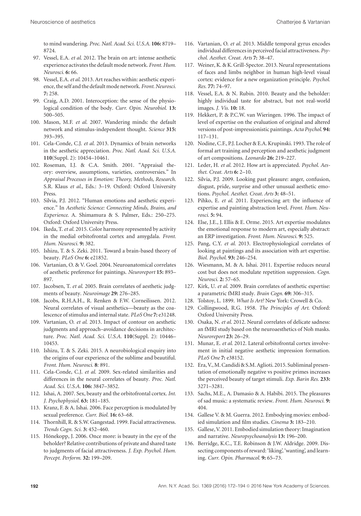to mind wandering. *Proc. Natl. Acad. Sci. U.S.A.* **106:** 8719– 8724.

- 97. Vessel, E.A. *et al*. 2012. The brain on art: intense aesthetic experience activates the default mode network. *Front. Hum. Neurosci.* **6:** 66.
- 98. Vessel, E.A.*et al*. 2013. Art reaches within: aesthetic experience, the self and the defaultmode network. *Front. Neurosci.* **7:** 258.
- 99. Craig, A.D. 2001. Interoception: the sense of the physiological condition of the body. *Curr. Opin. Neurobiol.* **13:** 500–505.
- 100. Mason, M.F. *et al*. 2007. Wandering minds: the default network and stimulus-independent thought. *Science* **315:** 393–395.
- 101. Cela-Conde, C.J. *et al*. 2013. Dynamics of brain networks in the aesthetic appreciation. *Proc. Natl. Acad. Sci. U.S.A.* **110**(Suppl. 2): 10454–10461.
- 102. Roseman, I.J. & C.A. Smith. 2001. "Appraisal theory: overview, assumptions, varieties, controversies." In *Appraisal Processes in Emotion: Theory, Methods, Research*. S.R. Klaus *et al*., Eds.: 3–19. Oxford: Oxford University Press.
- 103. Silvia, P.J. 2012. "Human emotions and aesthetic experience." In *Aesthetic Science: Connecting Minds, Brains, and Experience*. A. Shimamura & S. Palmer, Eds.: 250–275. Oxford: Oxford University Press.
- 104. Ikeda, T.*et al*. 2015. Color harmony represented by activity in the medial orbitofrontal cortex and amygdala. *Front. Hum. Neurosci.* **9:** 382.
- 105. Ishizu, T. & S. Zeki. 2011. Toward a brain-based theory of beauty. *PLoS One* **6:** e21852.
- 106. Vartanian, O. & V. Goel. 2004. Neuroanatomical correlates of aesthetic preference for paintings. *Neuroreport* **15:** 893– 897.
- 107. Jacobsen, T. *et al*. 2005. Brain correlates of aesthetic judgments of beauty. *Neuroimage* **29:** 276–285.
- 108. Jacobs, R.H.A.H., R. Renken & F.W. Corneilissen. 2012. Neural correlates of visual aesthetics—beauty as the coalescence of stimulus and internal state. *PLoS One* **7:** e31248.
- 109. Vartanian, O. *et al*. 2013. Impact of contour on aesthetic judgments and approach–avoidance decisions in architecture. *Proc. Natl. Acad. Sci. U.S.A.* **110**(Suppl. 2): 10446– 10453.
- 110. Ishizu, T. & S. Zeki. 2015. A neurobiological enquiry into the origins of our experience of the sublime and beautiful. *Front. Hum. Neurosci.* **8**: 891.
- 111. Cela-Conde, C.J. *et al*. 2009. Sex-related similarities and differences in the neural correlates of beauty*. Proc. Natl. Acad. Sci. U.S.A.* **106:** 3847–3852.
- 112. Ishai, A. 2007. Sex, beauty and the orbitofrontal cortex. *Int. J. Psychophysiol.* **63:** 181–185.
- 113. Kranz, F. & A. Ishai. 2006. Face perception is modulated by sexual preference. *Curr. Biol.* **16:** 63–68.
- 114. Thornhill, R. & S.W. Gangestad. 1999. Facial attractiveness. *Trends Cogn. Sci.* **3:** 452–460.
- 115. Hönekopp, J. 2006. Once more: is beauty in the eye of the beholder? Relative contributions of private and shared taste to judgments of facial attractiveness. *J. Exp. Psychol. Hum. Percept. Perform.* **32:** 199–209.
- 116. Vartanian, O. *et al*. 2013. Middle temporal gyrus encodes individual differences in perceived facial attractiveness. Psy*chol. Aesthet. Creat. Arts* **7:** 38–47.
- 117. Weiner, K. & K. Grill-Spector. 2013. Neural representations of faces and limbs neighbor in human high-level visual cortex: evidence for a new organization principle. *Psychol. Res.* **77:** 74–97.
- 118. Vessel, E.A. & N. Rubin. 2010. Beauty and the beholder: highly individual taste for abstract, but not real-world images. *J. Vis.* **10:** 18.
- 119. Hekkert, P. & P.C.W. van Wieringen. 1996. The impact of level of expertise on the evaluation of original and altered versions of post-impressionistic paintings. *Acta Psychol*. **94:** 117–131.
- 120. Nodine, C.F., P.J. Locher & E.A. Krupinski. 1993. The role of formal art training and perception and aesthetic judgment of art compositions. *Leonardo* **26:** 219–227.
- 121. Leder, H. *et al*. 2012. How art is appreciated. *Psychol. Aesthet. Creat. Arts* **6:** 2–10.
- 122. Silvia, P.J. 2009. Looking past pleasure: anger, confusion, disgust, pride, surprise and other unusual aesthetic emotions. *Psychol. Aesthet. Creat. Arts* **3:** 48–51.
- 123. Pihko, E. *et al*. 2011. Experiencing art: the influence of expertise and painting abstraction level. *Front. Hum. Neurosci.* **5:** 94.
- 124. Else, J.E., J. Ellis & E. Orme. 2015. Art expertise modulates the emotional response to modern art, especially abstract: an ERP investigation. *Front. Hum. Neurosci.* **9:** 525.
- 125. Pang, C.Y. *et al*. 2013. Electrophysiological correlates of looking at paintings and its association with art expertise*. Biol. Psychol.* **93:** 246–254.
- 126. Wiesmann, M. & A. Ishai. 2011. Expertise reduces neural cost but does not modulate repetition suppression. *Cogn. Neurosci.* **2:** 57–65.
- 127. Kirk, U. *et al*. 2009. Brain correlates of aesthetic expertise: a parametric fMRI study. *Brain Cogn.* **69:** 306–315.
- 128. Tolstoy, L. 1899. *What Is Art?* New York: Crowell & Co.
- 129. Collingwood, R.G. 1958. *The Principles of Art*. Oxford: Oxford University Press.
- 130. Osaka, N. *et al*. 2012. Neural correlates of delicate sadness: an fMRI study based on the neuroaesthetics of Noh masks. *Neuroreport* **23:** 26–29.
- 131. Munar, E. *et al*. 2012. Lateral orbitofrontal cortex involvement in initial negative aesthetic impression formation. *PLoS One* **7:** e38152.
- 132. Era, V.,M. Candidi & S.M. Aglioti. 2015. Subliminal presentation of emotionally negative vs positive primes increases the perceived beauty of target stimuli. *Exp. Barin Res.* **233:** 3271–3281.
- 133. Sachs, M.E., A. Damasio & A. Habibi. 2015. The pleasures of sad music: a systematic review. *Front. Hum. Neurosci.* **9:** 404.
- 134. Gallese V. & M. Guerra. 2012. Embodying movies: embodied simulation and film studies. *Cinema* **3:** 183–210.
- 135. Gallese, V. 2011. Embodied simulation theory: Imagination and narrative. *Neuropsychoanalysis* **13:** 196–200.
- 136. Berridge, K.C., T.E. Robinson & J.W. Aldridge. 2009. Dissecting components of reward: 'liking', 'wanting', and learning. *Curr. Opin. Pharmacol.* **9:** 65–73.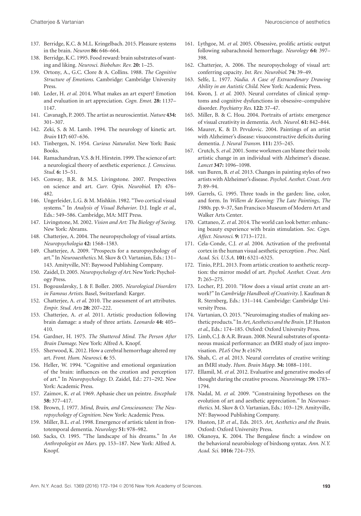- 137. Berridge, K.C. & M.L. Kringelbach. 2015. Pleasure systems in the brain. *Neuron* **86:** 646–664.
- 138. Berridge, K.C. 1995. Food reward: brain substrates of wanting and liking. *Neurosci. Biobehav. Rev.* **20:** 1–25.
- 139. Ortony, A., G.C. Clore & A. Collins. 1988. *The Cognitive Structure of Emotions*. Cambridge: Cambridge University Press.
- 140. Leder, H. *et al*. 2014. What makes an art expert? Emotion and evaluation in art appreciation. *Cogn. Emot.* **28:** 1137– 1147.
- 141. Cavanagh, P. 2005. The artist as neuroscientist. *Nature* **434:** 301–307.
- 142. Zeki, S. & M. Lamb. 1994. The neurology of kinetic art. *Brain* **117:** 607–636.
- 143. Tinbergen, N. 1954. *Curious Naturalist*. New York: Basic Books.
- 144. Ramachandran, V.S. & H. Hirstein. 1999. The science of art: a neurological theory of aesthetic experience. *J. Conscious. Stud.* **6:** 15–51.
- 145. Conway, B.R. & M.S. Livingstone. 2007. Perspectives on science and art. *Curr. Opin. Neurobiol.* **17:** 476– 482.
- 146. Ungerleider, L.G. & M. Mishkin. 1982. "Two cortical visual systems." In *Analysis of Visual Behavior*. D.J. Ingle *et al*., Eds.: 549–586. Cambridge, MA: MIT Press.
- 147. Livingstone, M. 2002. *Vision and Art: The Biology of Seeing*. New York: Abrams.
- 148. Chatterjee, A. 2004. The neuropsychology of visual artists. *Neuropsychologia* **42:** 1568–1583.
- 149. Chatterjee, A. 2009. "Prospects for a neuropsychology of art." In *Neuroaesthetics*. M. Skov & O. Vartanian, Eds.: 131– 143. Amityville, NY: Baywood Publishing Company.
- 150. Zaidel, D. 2005. *Neuropsychology of Art*. New York: Psychology Press.
- 151. Bogousslavsky, J. & F. Boller. 2005. *Neurological Disorders in Famous Artists*. Basel, Switzerland: Karger.
- 152. Chatterjee, A. *et al*. 2010. The assessment of art attributes. *Empir. Stud. Arts* **28:** 207–222.
- 153. Chatterjee, A. *et al*. 2011. Artistic production following brain damage: a study of three artists. *Leonardo* **44:** 405– 410.
- 154. Gardner, H. 1975. *The Shattered Mind. The Person After Brain Damage*. New York: Alfred A. Knopf.
- 155. Sherwood, K. 2012. How a cerebral hemorrhage altered my art. *Front. Hum. Neurosci.* **6:** 55.
- 156. Heller, W. 1994. "Cognitive and emotional organization of the brain: influences on the creation and perception of art." In *Neuropsychology*. D. Zaidel, Ed.: 271–292. New York: Academic Press.
- 157. Zaimov, K. *et al*. 1969. Aphasie chez un peintre. *Encephale* **58:** 377–417.
- 158. Brown, J. 1977. *Mind, Brain, and Consciousness: The Neuropsychology of Cognition*. New York: Academic Press.
- 159. Miller, B.L. *et al*. 1998. Emergence of artistic talent in frontotemporal dementia. *Neurology* **51:** 978–982.
- 160. Sacks, O. 1995. "The landscape of his dreams." In *An Anthropologist on Mars*. pp. 153–187. New York: Alfred A. Knopf.
- 161. Lythgoe, M. *et al*. 2005. Obsessive, prolific artistic output following subarachnoid hemorrhage. *Neurology* **64:** 397– 398.
- 162. Chatterjee, A. 2006. The neuropsychology of visual art: conferring capacity. *Int. Rev. Neurobiol.* **74:** 39–49.
- 163. Selfe, L. 1977. *Nadia. A Case of Extraordinary Drawing Ability in an Autistic Child*. New York: Academic Press.
- 164. Kwon, J. *et al*. 2003. Neural correlates of clinical symptoms and cognitive dysfunctions in obsessive–compulsive disorder. *Psychiatry Res*. **122:** 37–47.
- 165. Miller, B. & C. Hou. 2004. Portraits of artists: emergence of visual creativity in dementia. *Arch. Neurol.* **61:** 842–844.
- 166. Maurer, K. & D. Prvulovic. 2004. Paintings of an artist with Alzheimer's disease: visuoconstructive deficits during dementia. *J. Neural Transm.* **111:** 235–245.
- 167. Crutch, S.*et al*. 2001. Some workmen can blame their tools: artistic change in an individual with Alzheimer's disease. *Lancet* **347:** 1096–1098.
- 168. van Buren, B. *et al*. 2013. Changes in painting styles of two artists with Alzheimer's disease. *Psychol. Aesthet. Creat. Arts* **7:** 89–94.
- 169. Garrels, G. 1995. Three toads in the garden: line, color, and form. In *Willem de Kooning: The Late Paintings, The 1980s*. pp. 9–37, San Francisco Museum of Modern Art and Walker Arts Center.
- 170. Cattaneo, Z.*et al*. 2014. The world can look better: enhancing beauty experience with brain stimulation. *Soc. Cogn. Affect. Neurosci.* **9:** 1713–1721.
- 171. Cela-Conde, C.J. *et al*. 2004. Activation of the prefrontal cortex in the human visual aesthetic perception . *Proc. Natl. Acad. Sci. U.S.A.* **101:** 6321–6325.
- 172. Tinio, P.P.L. 2013. From artistic creation to aesthetic reception: the mirror model of art. *Psychol. Aesthet. Creat. Arts* **7:** 265–275.
- 173. Locher, P.J. 2010. "How does a visual artist create an artwork?" In *Cambridge Handbook of Creativity*. J. Kaufman & R. Sternberg, Eds.: 131–144. Cambridge: Cambridge University Press.
- 174. Vartanian, O. 2015. "Neuroimaging studies of making aesthetic products." In Art, Aesthetics and the Brain. J.P. Huston *et al*., Eds.: 174–185. Oxford: Oxford University Press.
- 175. Limb, C.J. & A.R. Braun. 2008. Neural substrates of spontaneous musical performance: an fMRI study of jazz improvisation. *PLoS One* **3:** e1679.
- 176. Shah, C. *et al*. 2013. Neural correlates of creative writing: an fMRI study. *Hum. Brain Mapp.* **34:** 1088–1101.
- 177. Ellamil, M. *et al*. 2012. Evaluative and generative modes of thought during the creative process. *Neuroimage* **59:** 1783– 1794.
- 178. Nadal, M. *et al*. 2009. "Constraining hypotheses on the evolution of art and aesthetic appreciation." In *Neuroaesthetics*. M. Skov & O. Vartanian, Eds.: 103–129. Amityville, NY: Baywood Publishing Company.
- 179. Huston, J.P. *et al.*, Eds. 2015. *Art, Aesthetics and the Brain*. Oxford: Oxford University Press.
- 180. Okanoya, K. 2004. The Bengalese finch: a window on the behavioral neurobiology of birdsong syntax. *Ann. N.Y. Acad. Sci.* **1016:** 724–735.